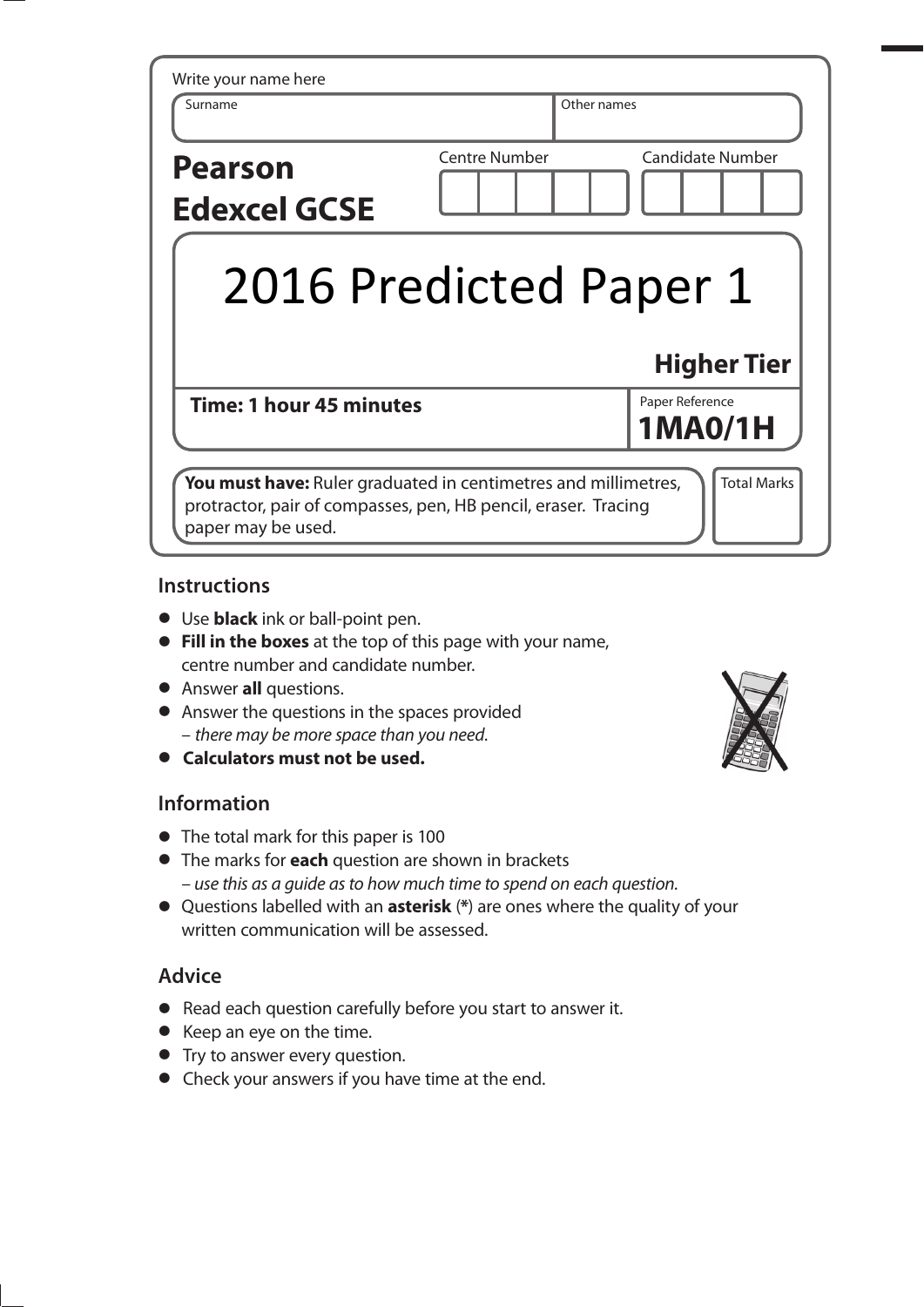| Write your name here<br>Surname       | Other names            |                         |
|---------------------------------------|------------------------|-------------------------|
| <b>Pearson</b><br><b>Edexcel GCSE</b> | <b>Centre Number</b>   | <b>Candidate Number</b> |
|                                       |                        |                         |
|                                       | 2016 Predicted Paper 1 |                         |
|                                       |                        | <b>Higher Tier</b>      |

## **Instructions**

- **t** Use **black** ink or ball-point pen.
- **Fill in the boxes** at the top of this page with your name, centre number and candidate number.
- **•** Answer **all** questions.
- **•** Answer the questions in the spaces provided – there may be more space than you need.
- **t Calculators must not be used.**

# **Information**

- The total mark for this paper is 100
- **t** The marks for **each** question are shown in brackets – use this as a guide as to how much time to spend on each question.
- **t** Questions labelled with an **asterisk** (**\***) are ones where the quality of your written communication will be assessed.

# **Advice**

- **•** Read each question carefully before you start to answer it.
- **•** Keep an eye on the time.
- **•** Try to answer every question.
- **•** Check your answers if you have time at the end.

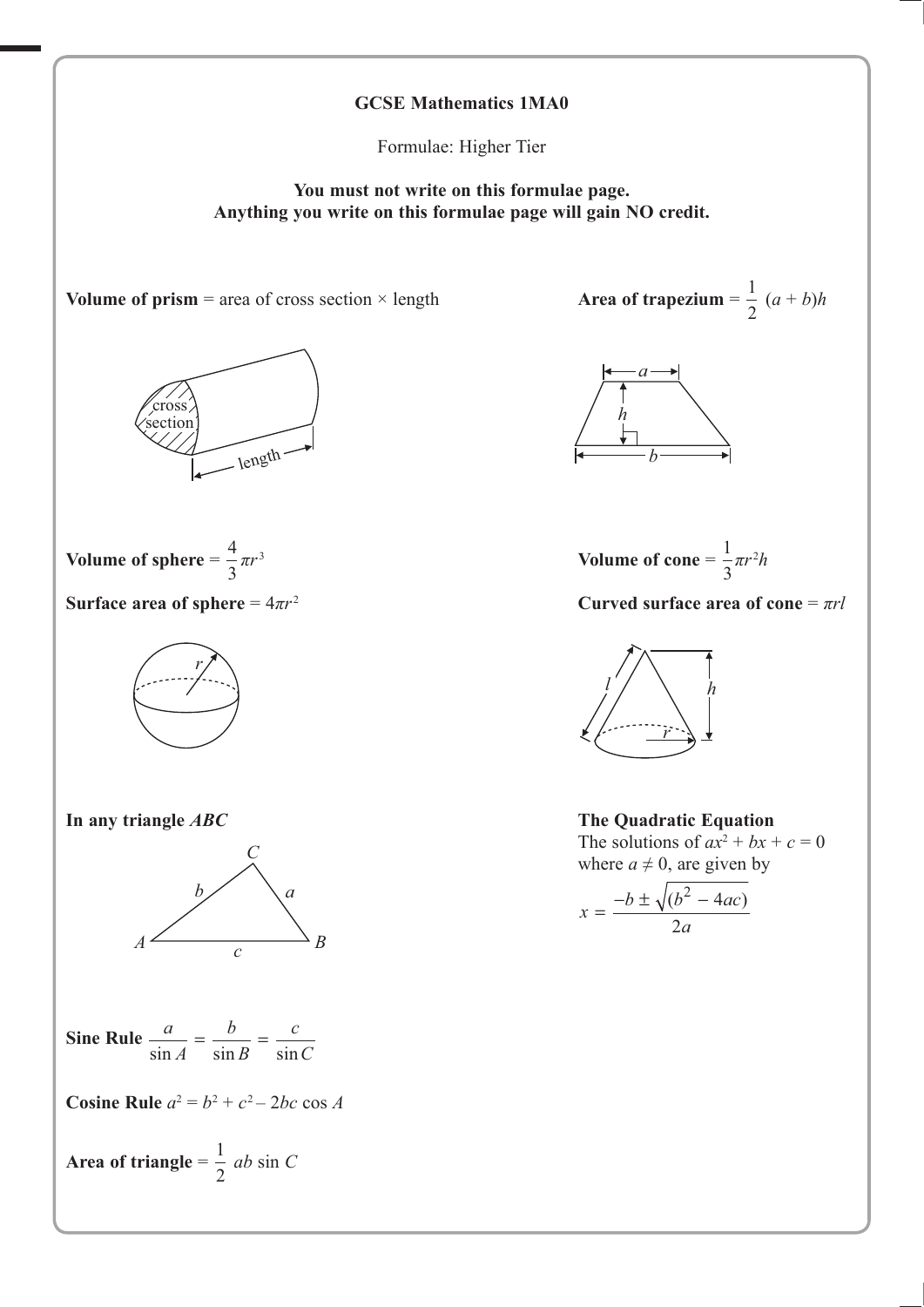

Formulae: Higher Tier

**You must not write on this formulae page. Anything you write on this formulae page will gain NO credit.**



 $\frac{1}{2} (a + b)h$ 



Volume of cone = 
$$
\frac{1}{3}\pi r^2 h
$$



where  $a \neq 0$ , are given by

$$
x = \frac{-b \pm \sqrt{(b^2 - 4ac)}}{2a}
$$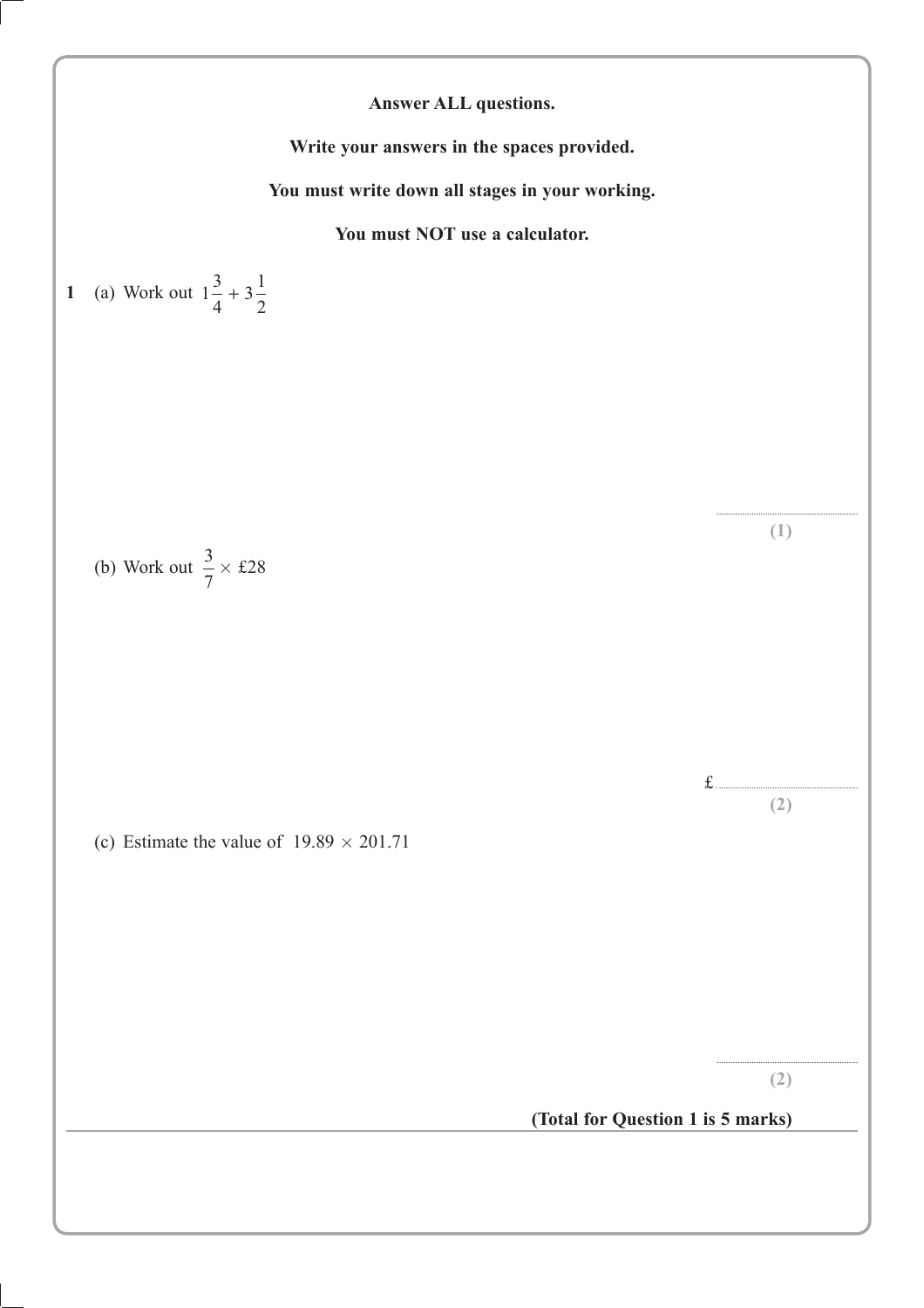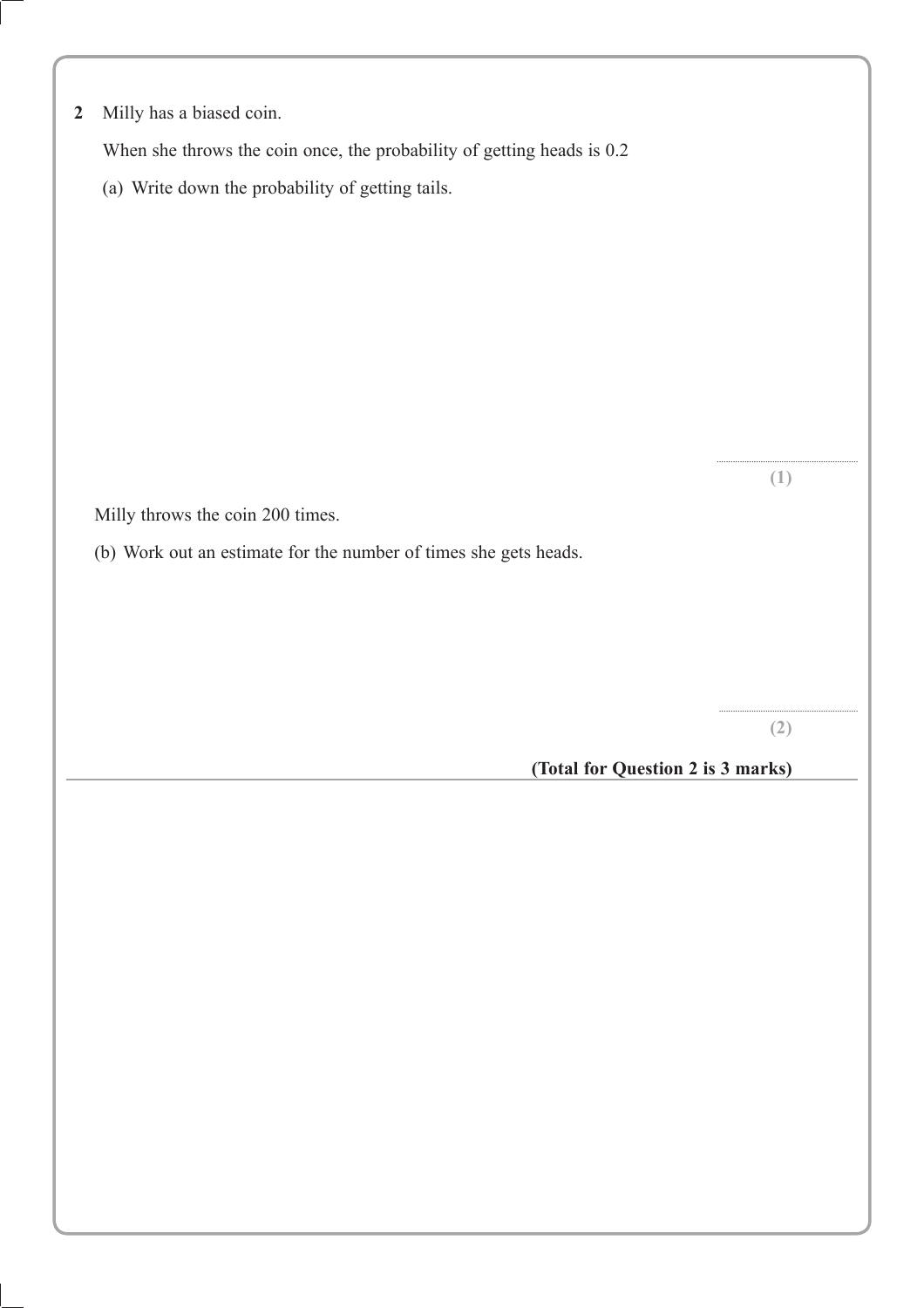| 2 |  |  |  | Milly has a biased coin. |  |
|---|--|--|--|--------------------------|--|
|---|--|--|--|--------------------------|--|

When she throws the coin once, the probability of getting heads is 0.2

(a) Write down the probability of getting tails.

Milly throws the coin 200 times.

(b) Work out an estimate for the number of times she gets heads.

............................................................ **(2)**

............................................................. **(1)**

 **(Total for Question 2 is 3 marks)**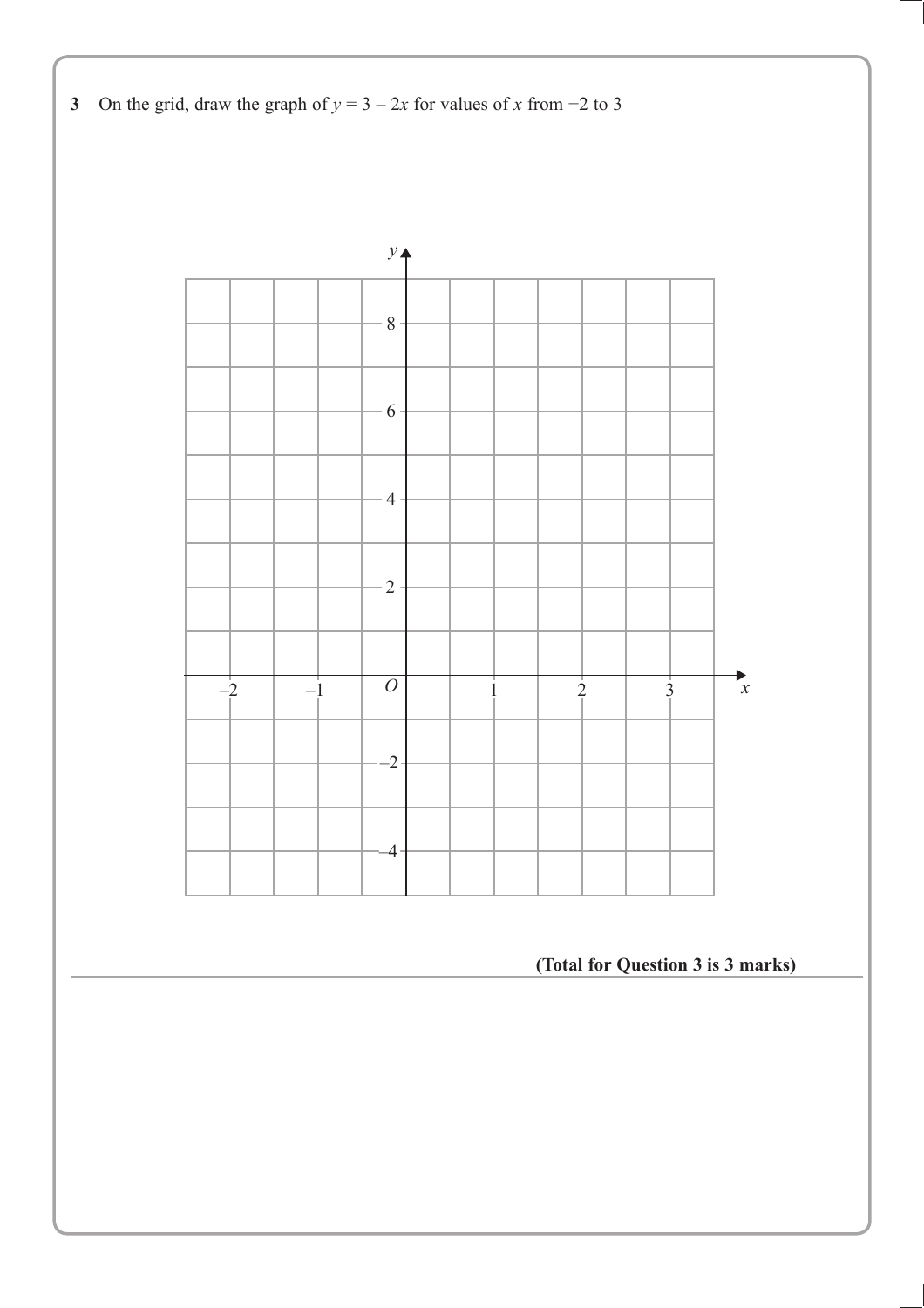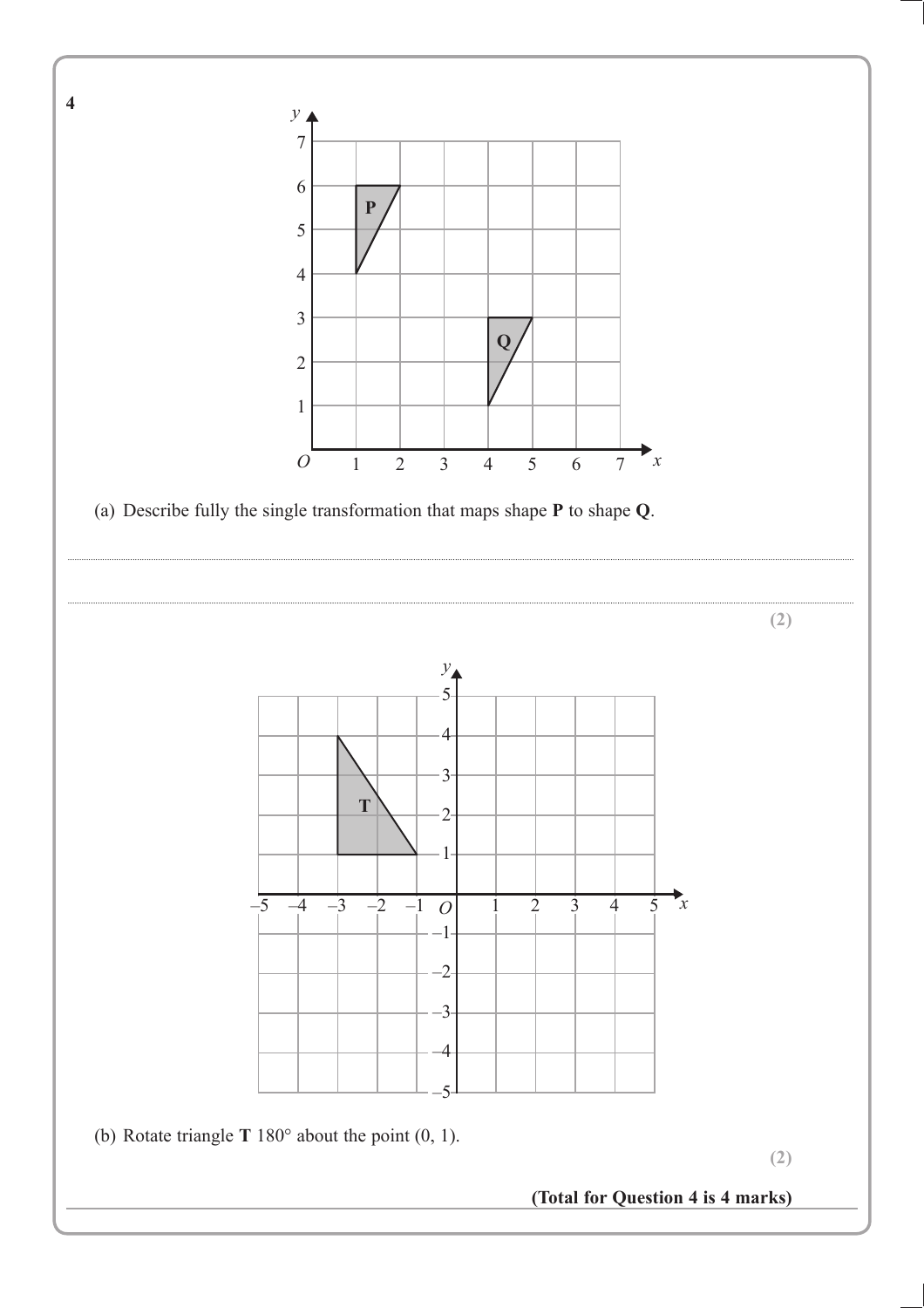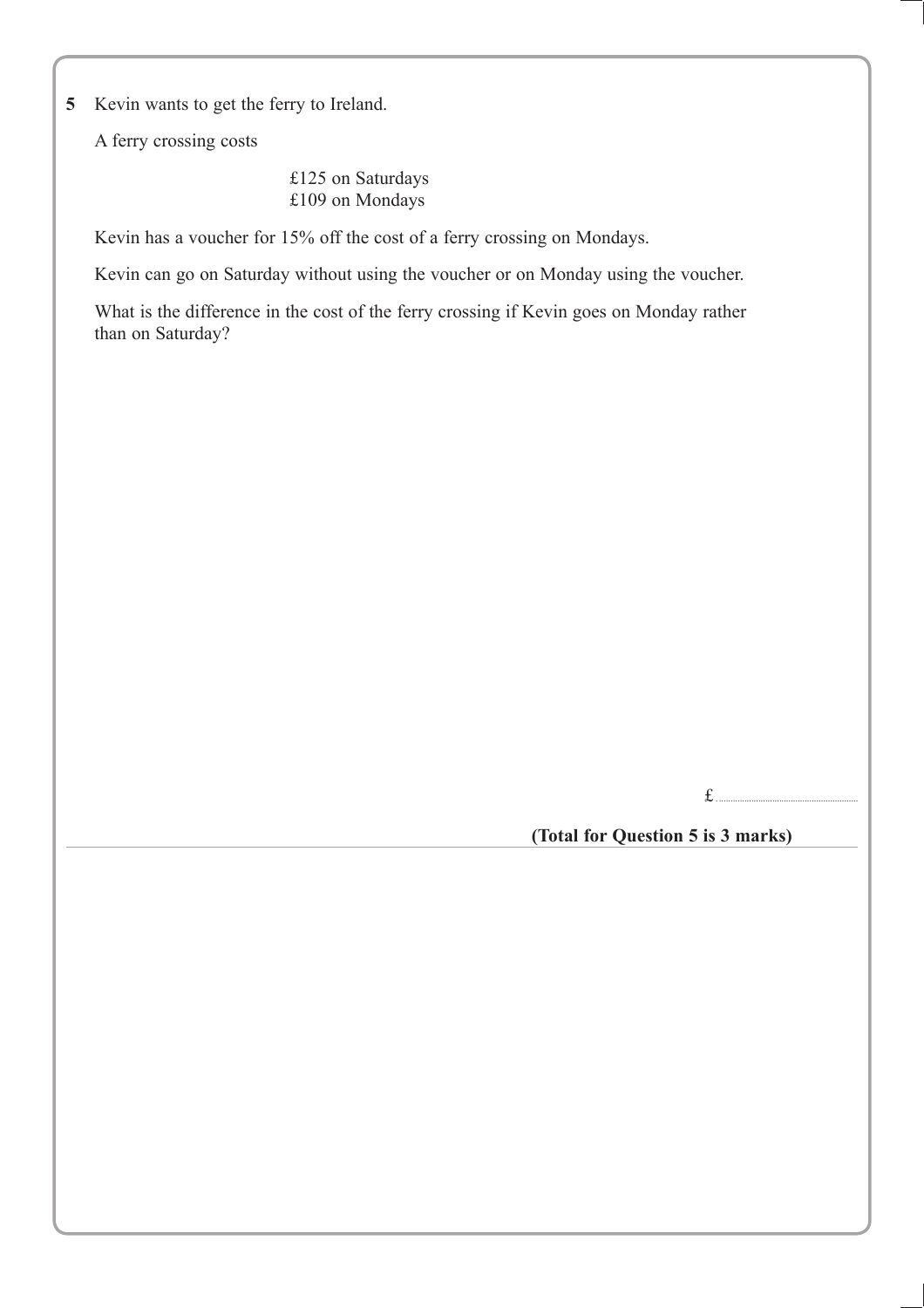**5** Kevin wants to get the ferry to Ireland.

A ferry crossing costs

 £125 on Saturdays £109 on Mondays

Kevin has a voucher for 15% off the cost of a ferry crossing on Mondays.

Kevin can go on Saturday without using the voucher or on Monday using the voucher.

What is the difference in the cost of the ferry crossing if Kevin goes on Monday rather than on Saturday?

 $f_{\ldots}$ 

**(Total for Question 5 is 3 marks)**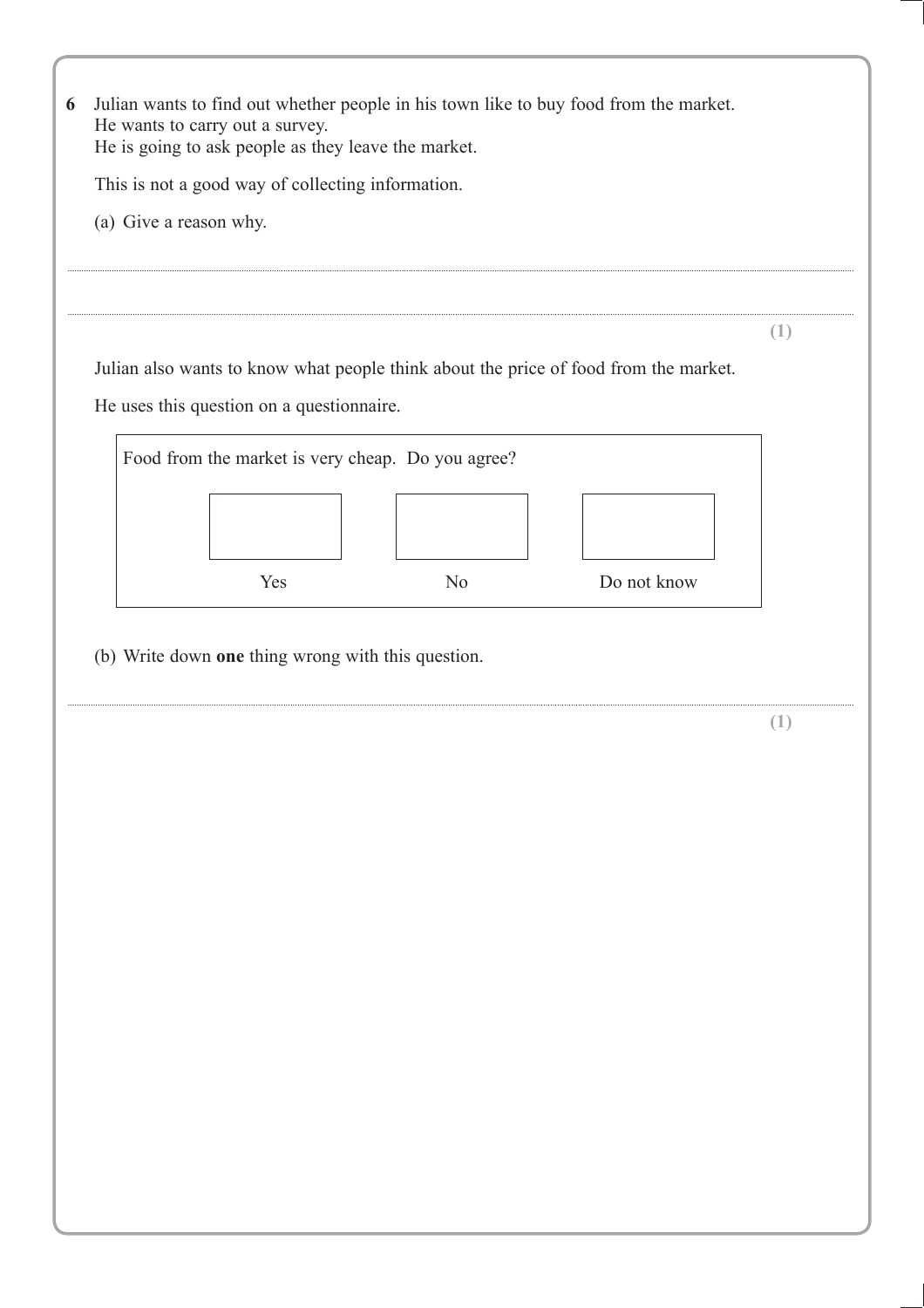| He wants to carry out a survey.<br>He is going to ask people as they leave the market.<br>This is not a good way of collecting information.<br>(a) Give a reason why. |                | Julian wants to find out whether people in his town like to buy food from the market. |     |
|-----------------------------------------------------------------------------------------------------------------------------------------------------------------------|----------------|---------------------------------------------------------------------------------------|-----|
|                                                                                                                                                                       |                |                                                                                       |     |
|                                                                                                                                                                       |                |                                                                                       |     |
|                                                                                                                                                                       |                |                                                                                       |     |
|                                                                                                                                                                       |                |                                                                                       |     |
|                                                                                                                                                                       |                |                                                                                       |     |
|                                                                                                                                                                       |                |                                                                                       |     |
|                                                                                                                                                                       |                |                                                                                       | (1) |
|                                                                                                                                                                       |                | Julian also wants to know what people think about the price of food from the market.  |     |
| He uses this question on a questionnaire.                                                                                                                             |                |                                                                                       |     |
|                                                                                                                                                                       |                |                                                                                       |     |
| Food from the market is very cheap. Do you agree?                                                                                                                     |                |                                                                                       |     |
|                                                                                                                                                                       |                |                                                                                       |     |
|                                                                                                                                                                       |                |                                                                                       |     |
|                                                                                                                                                                       |                |                                                                                       |     |
| Yes                                                                                                                                                                   | N <sub>o</sub> | Do not know                                                                           |     |
|                                                                                                                                                                       |                |                                                                                       |     |
|                                                                                                                                                                       |                |                                                                                       | (1) |
|                                                                                                                                                                       |                |                                                                                       |     |
|                                                                                                                                                                       |                |                                                                                       |     |
|                                                                                                                                                                       |                |                                                                                       |     |
|                                                                                                                                                                       |                |                                                                                       |     |
|                                                                                                                                                                       |                |                                                                                       |     |
|                                                                                                                                                                       |                |                                                                                       |     |
|                                                                                                                                                                       |                |                                                                                       |     |
|                                                                                                                                                                       |                |                                                                                       |     |
|                                                                                                                                                                       |                |                                                                                       |     |
|                                                                                                                                                                       |                |                                                                                       |     |
|                                                                                                                                                                       |                |                                                                                       |     |
|                                                                                                                                                                       |                |                                                                                       |     |
|                                                                                                                                                                       |                |                                                                                       |     |
|                                                                                                                                                                       |                |                                                                                       |     |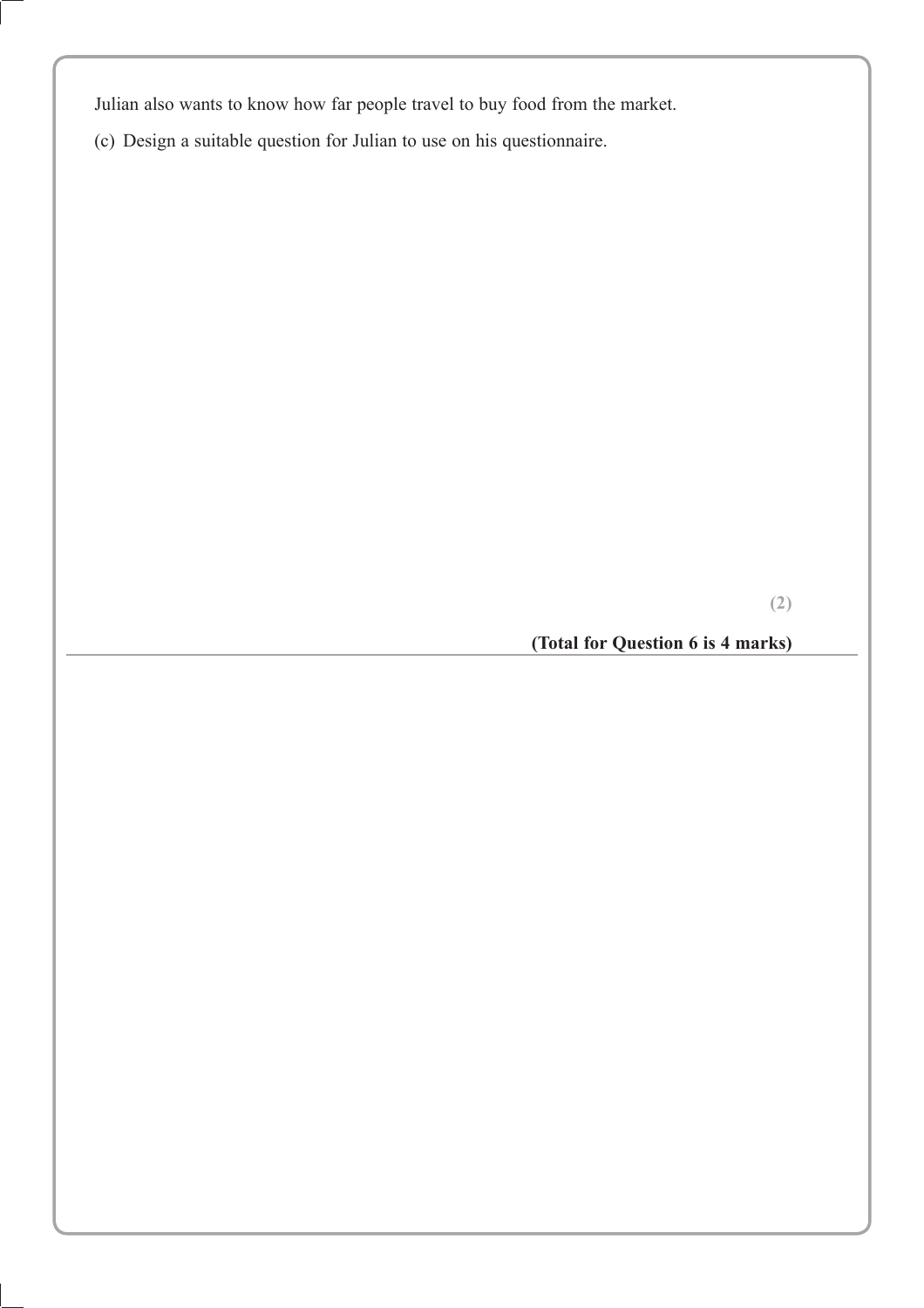Julian also wants to know how far people travel to buy food from the market.

(c) Design a suitable question for Julian to use on his questionnaire.

**(2)**

# **(Total for Question 6 is 4 marks)**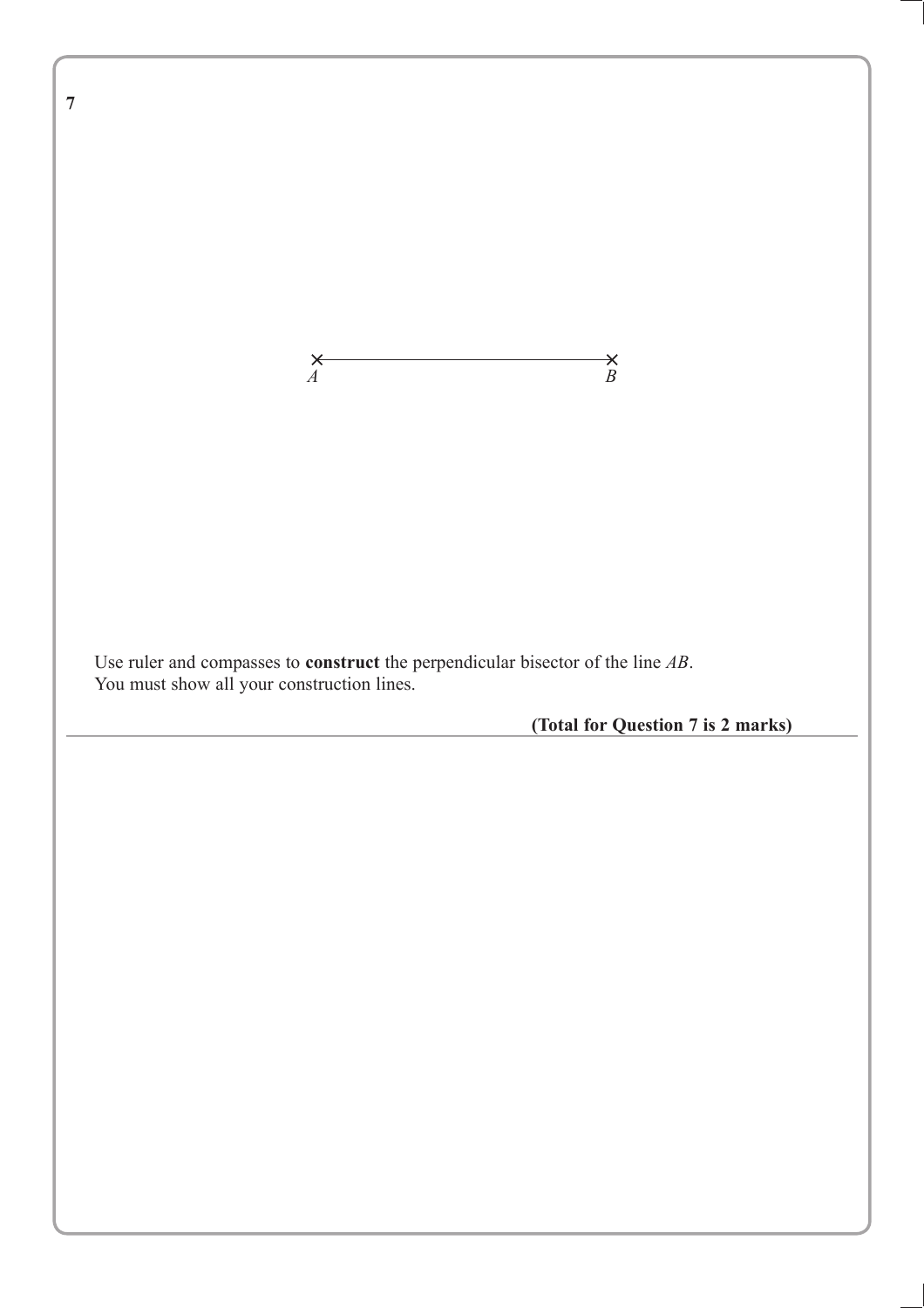**7** *A B* Use ruler and compasses to **construct** the perpendicular bisector of the line *AB*. You must show all your construction lines. **(Total for Question 7 is 2 marks)**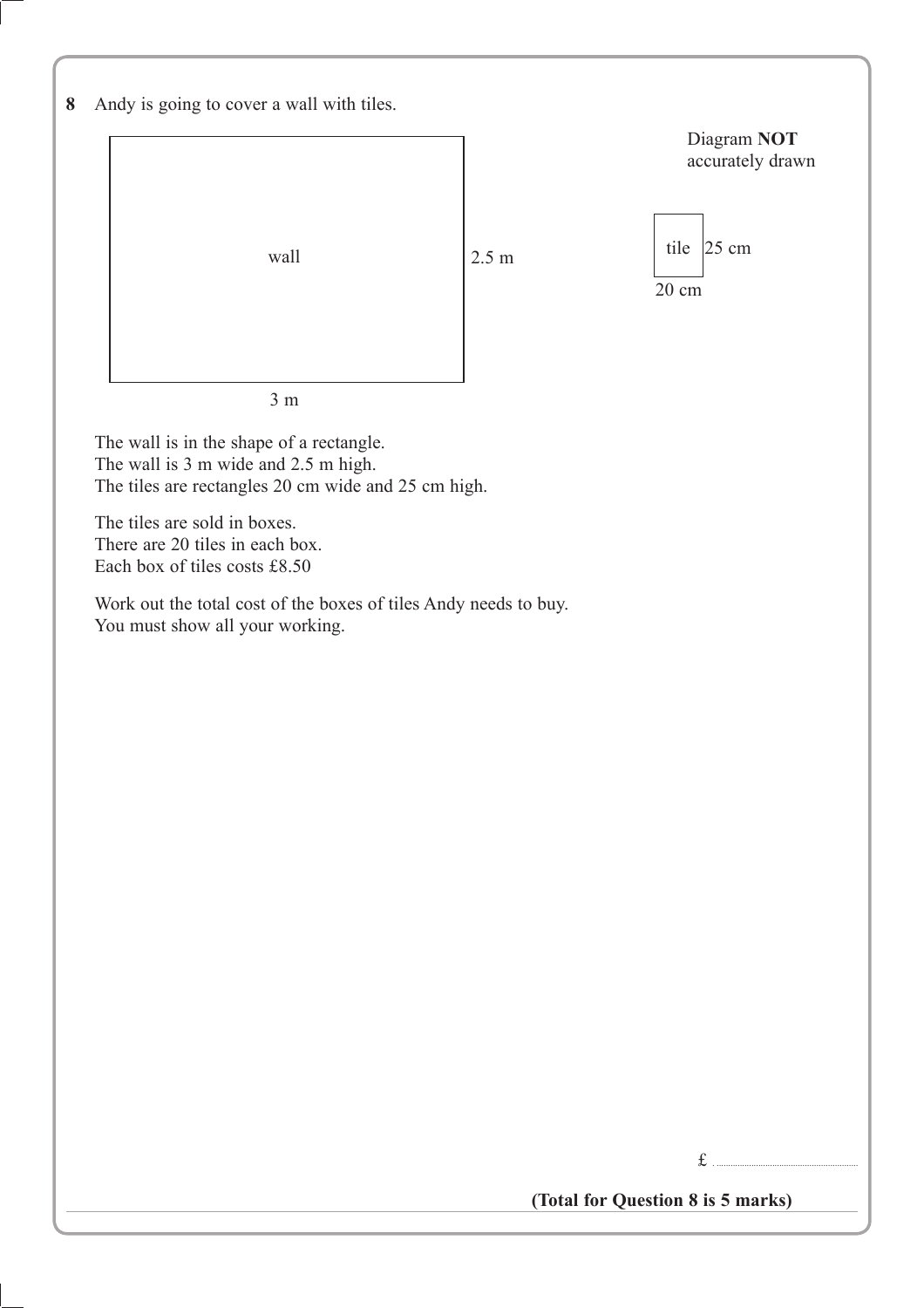| 8 |  | Andy is going to cover a wall with tiles. |  |  |  |
|---|--|-------------------------------------------|--|--|--|
|   |  |                                           |  |  |  |



The wall is in the shape of a rectangle. The wall is 3 m wide and 2.5 m high. The tiles are rectangles 20 cm wide and 25 cm high.

The tiles are sold in boxes. There are 20 tiles in each box. Each box of tiles costs £8.50

Work out the total cost of the boxes of tiles Andy needs to buy. You must show all your working.

£ . .............................................................

**(Total for Question 8 is 5 marks)**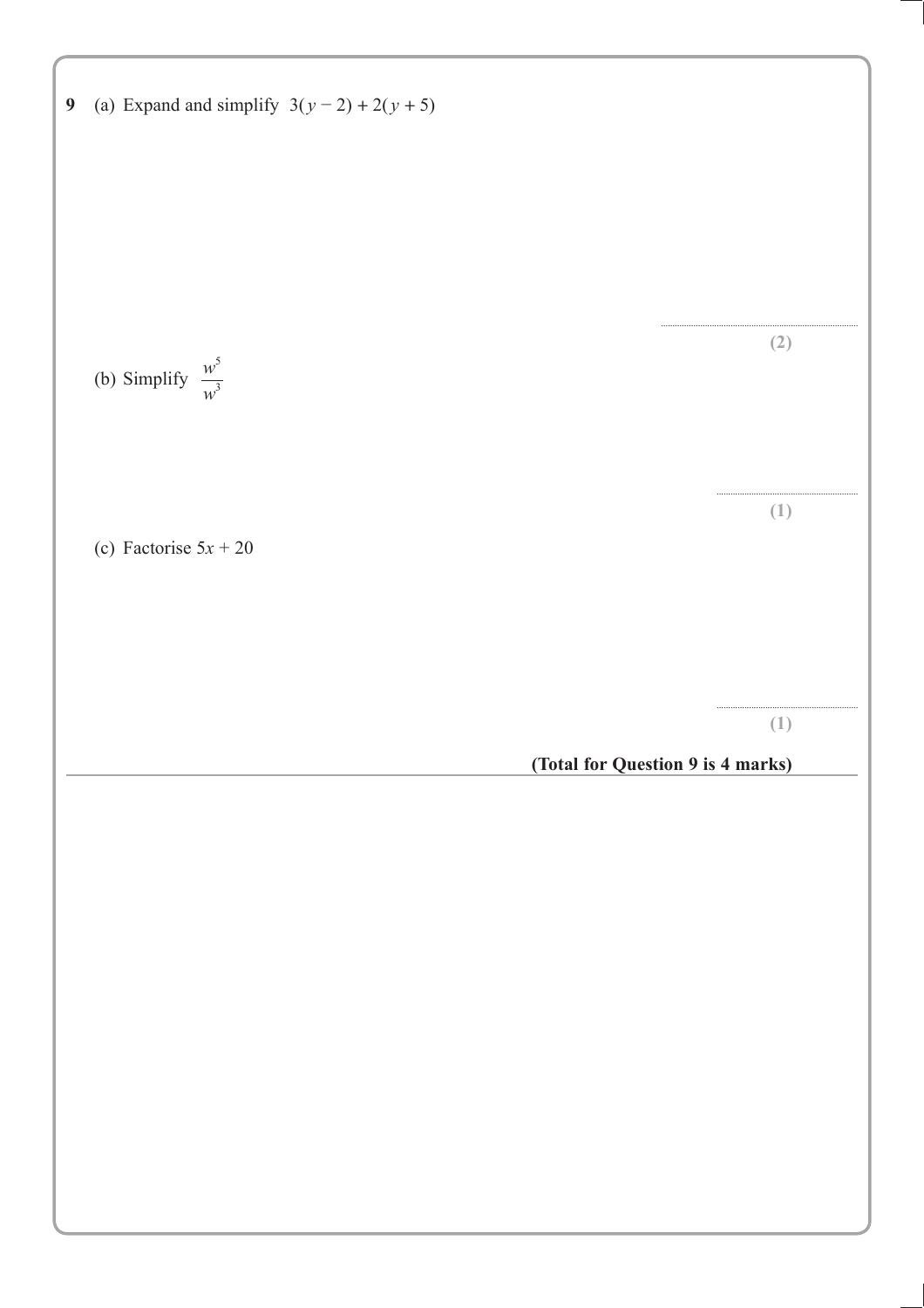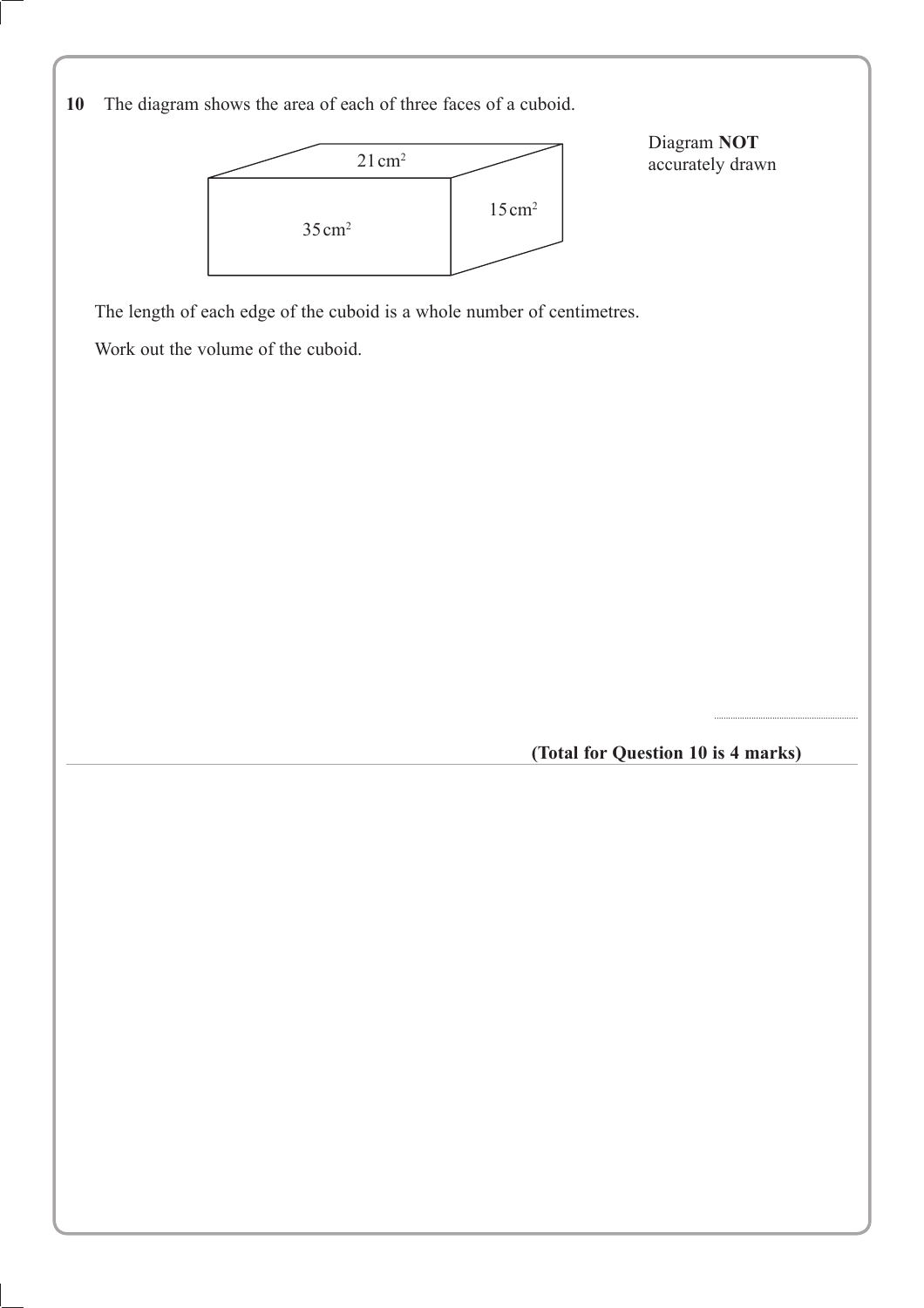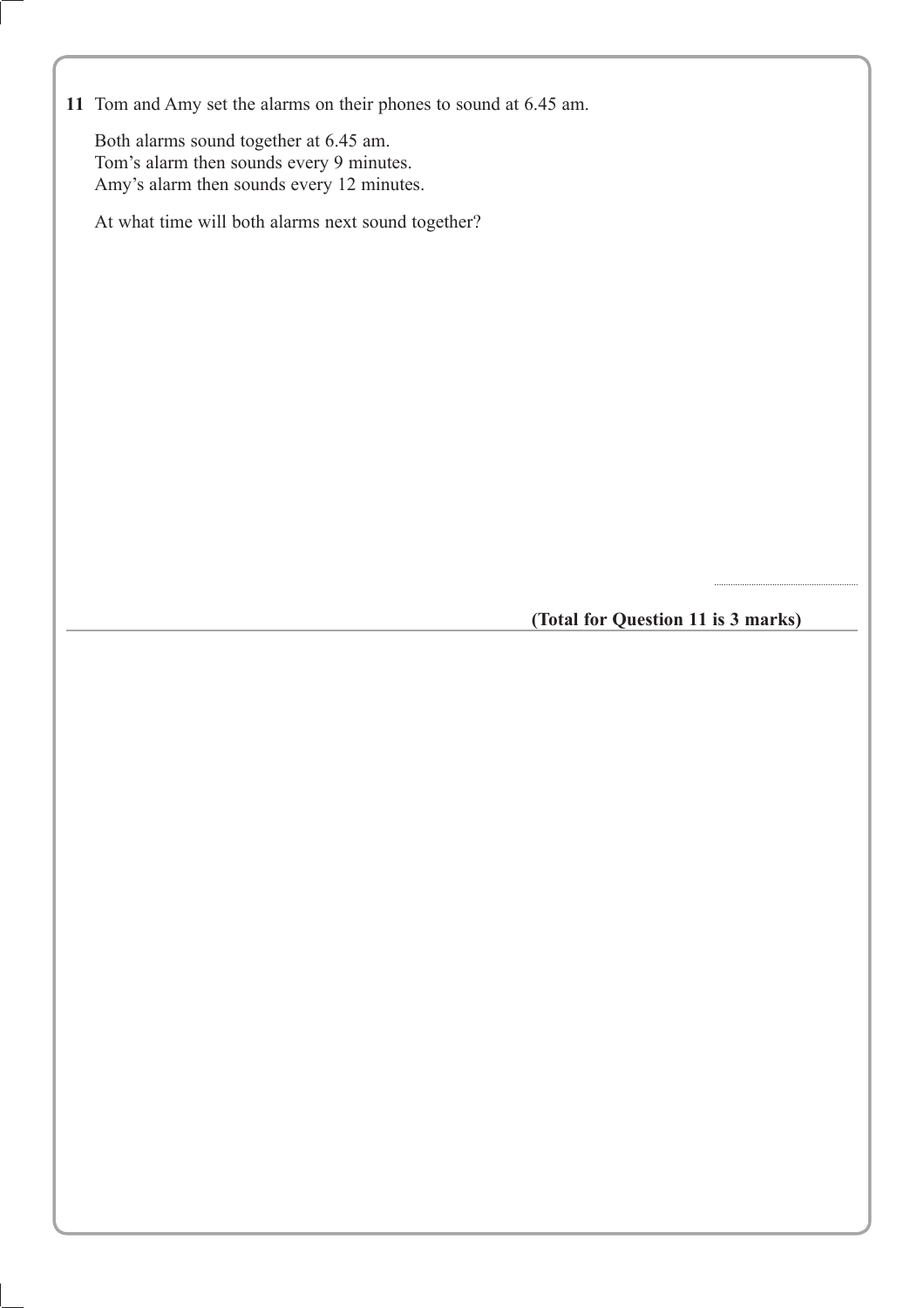**11** Tom and Amy set the alarms on their phones to sound at 6.45 am.

Both alarms sound together at 6.45 am. Tom's alarm then sounds every 9 minutes. Amy's alarm then sounds every 12 minutes.

At what time will both alarms next sound together?

**(Total for Question 11 is 3 marks)**

..............................................................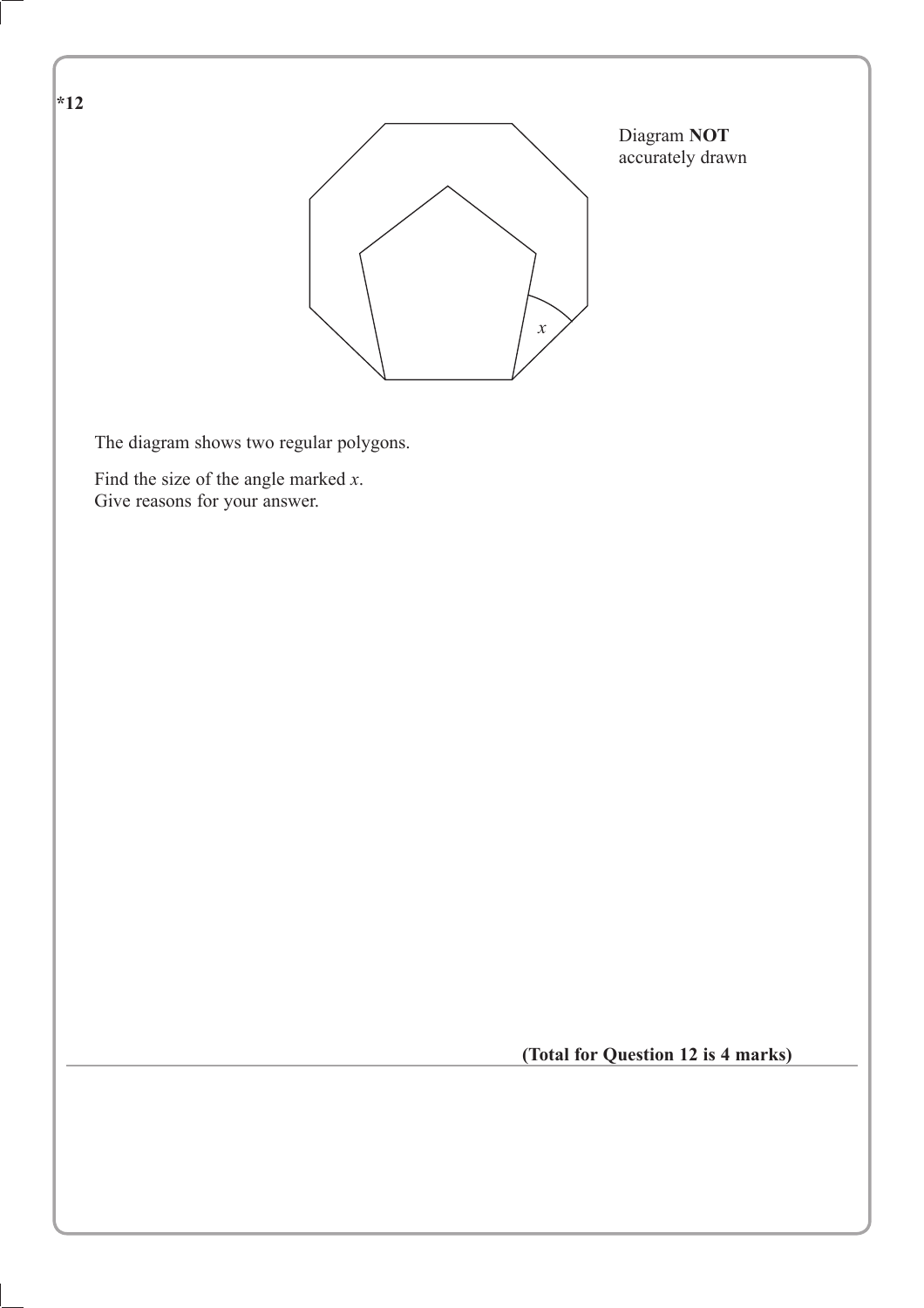

**(Total for Question 12 is 4 marks)**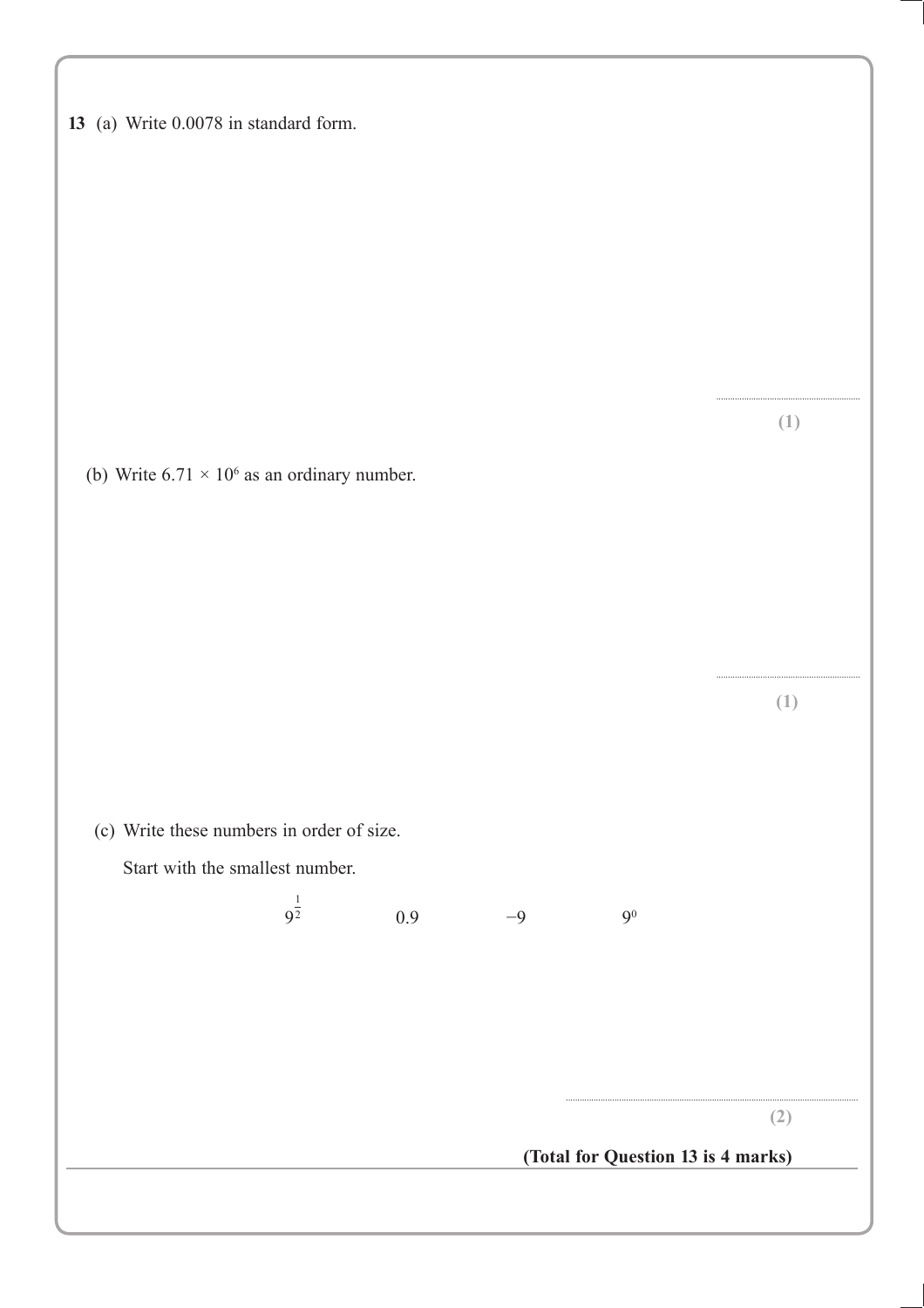|  |  |  |  |  | 13 (a) Write 0.0078 in standard form. |  |
|--|--|--|--|--|---------------------------------------|--|
|--|--|--|--|--|---------------------------------------|--|

(b) Write  $6.71 \times 10^6$  as an ordinary number.

(c) Write these numbers in order of size.

Start with the smallest number.

 $9^{\frac{1}{2}}$ 

**(2)**

.............................................................. **(1)**

.............................................................. **(1)**

**(Total for Question 13 is 4 marks)**

..............................................................................................................................

 $0.9$   $-9$   $9^0$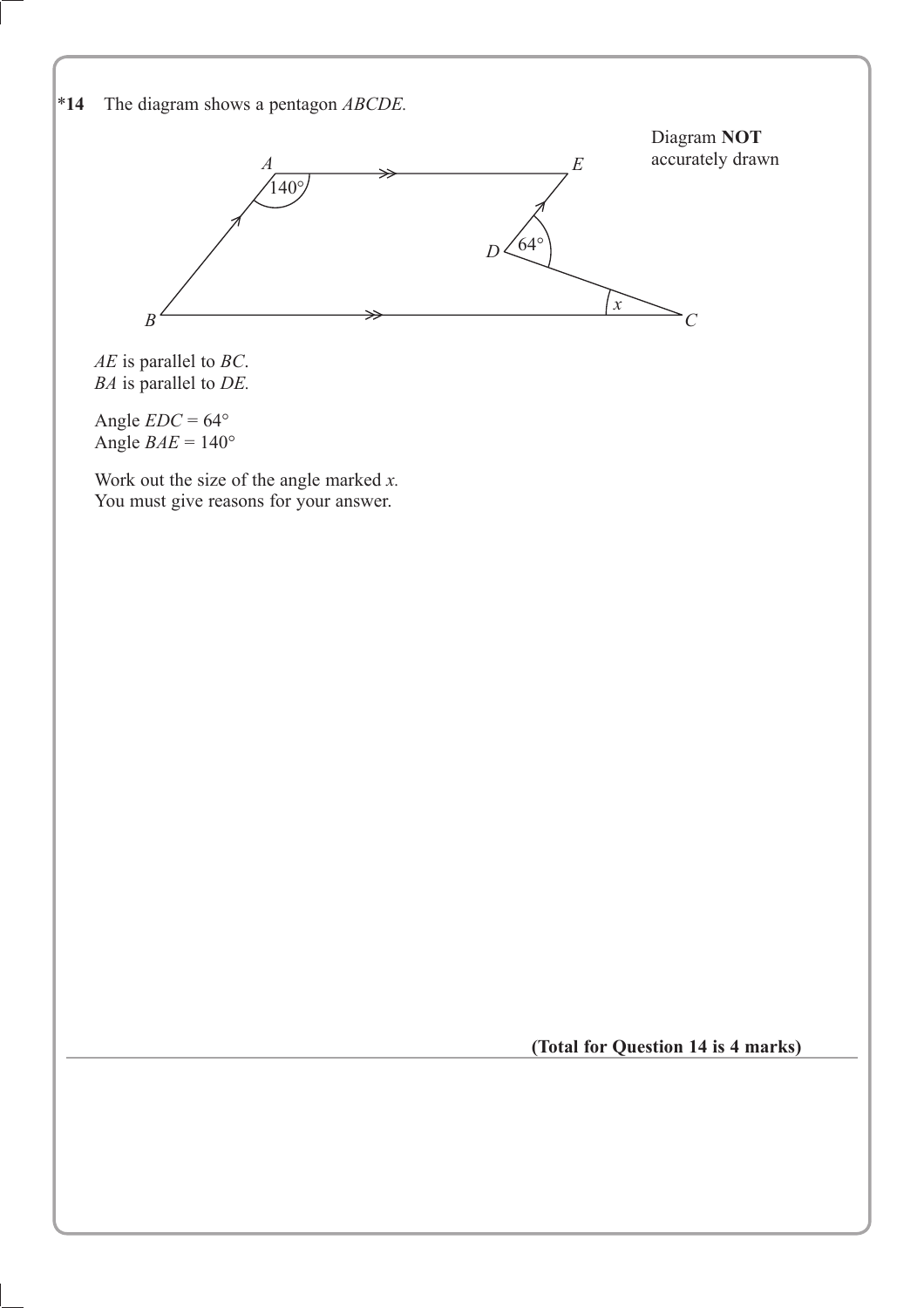

*AE* is parallel to *BC*. *BA* is parallel to *DE.*

Angle  $EDC = 64^{\circ}$ Angle  $BAE = 140^\circ$ 

Work out the size of the angle marked *x.* You must give reasons for your answer.

**(Total for Question 14 is 4 marks)**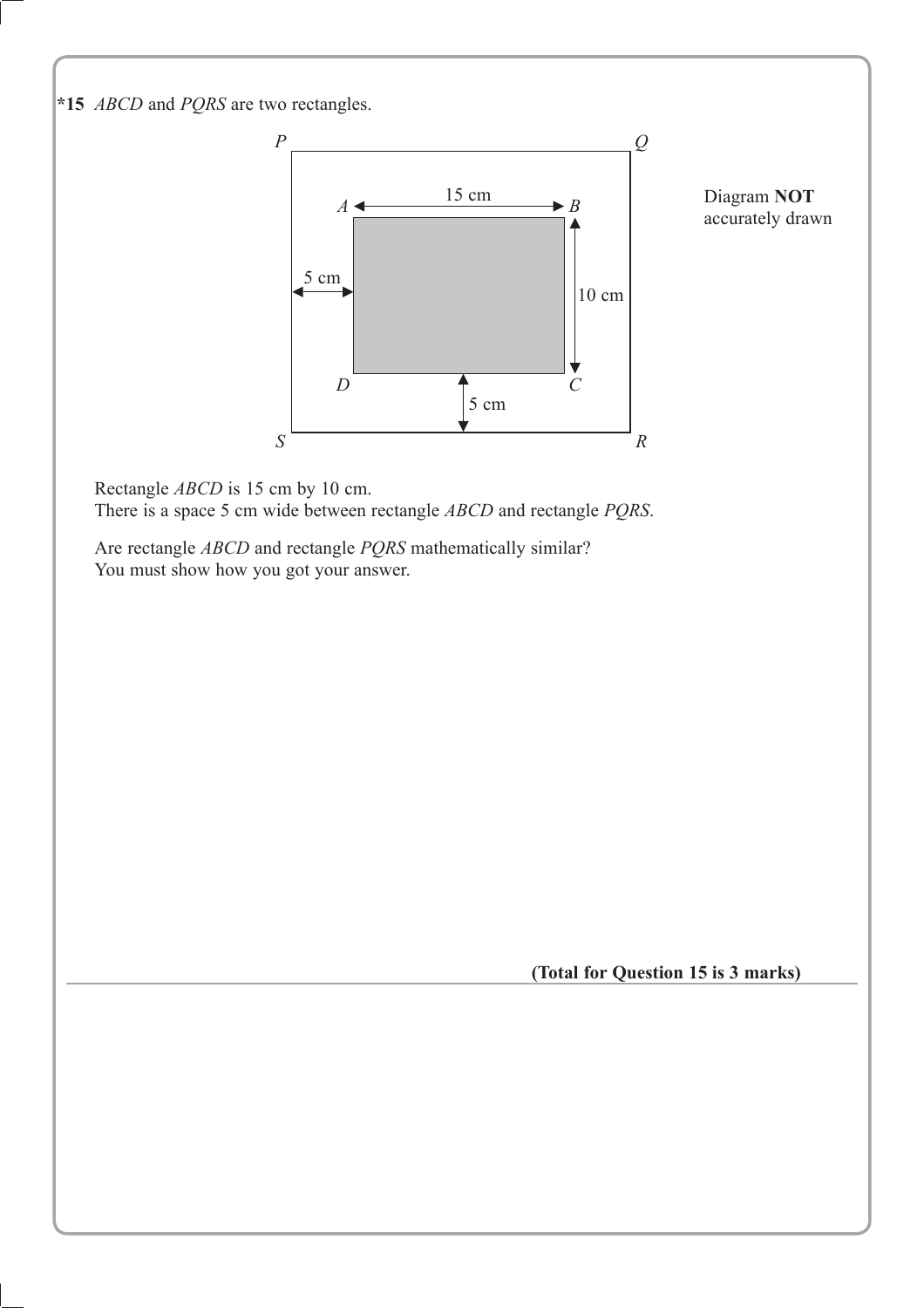**\* 15** *ABCD* and *PQRS* are two rectangles.



Rectangle *ABCD* is 15 cm by 10 cm. There is a space 5 cm wide between rectangle *ABCD* and rectangle *PQRS*.

Are rectangle *ABCD* and rectangle *PQRS* mathematically similar? You must show how you got your answer.

**(Total for Question 15 is 3 marks)**

Diagram **NOT**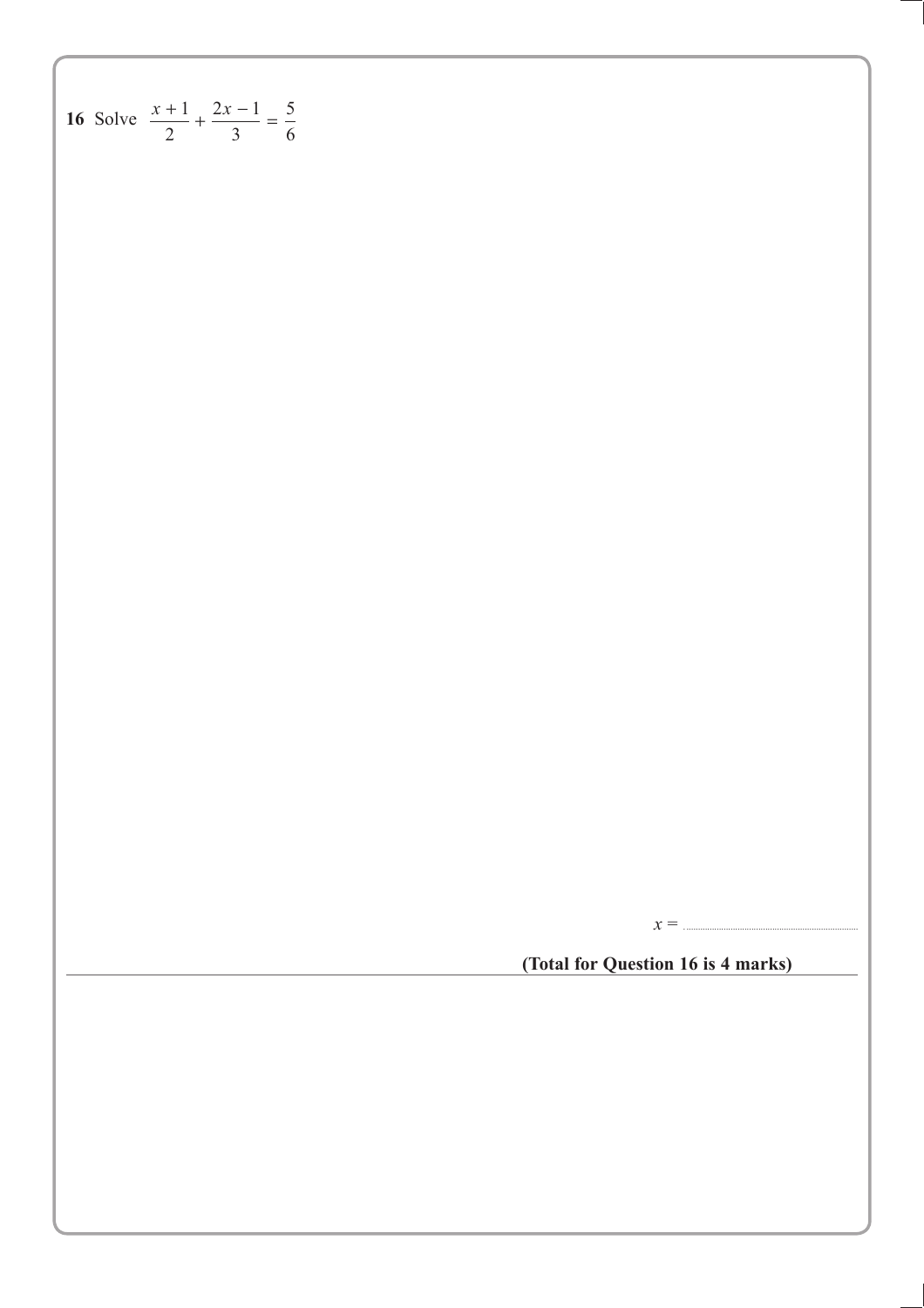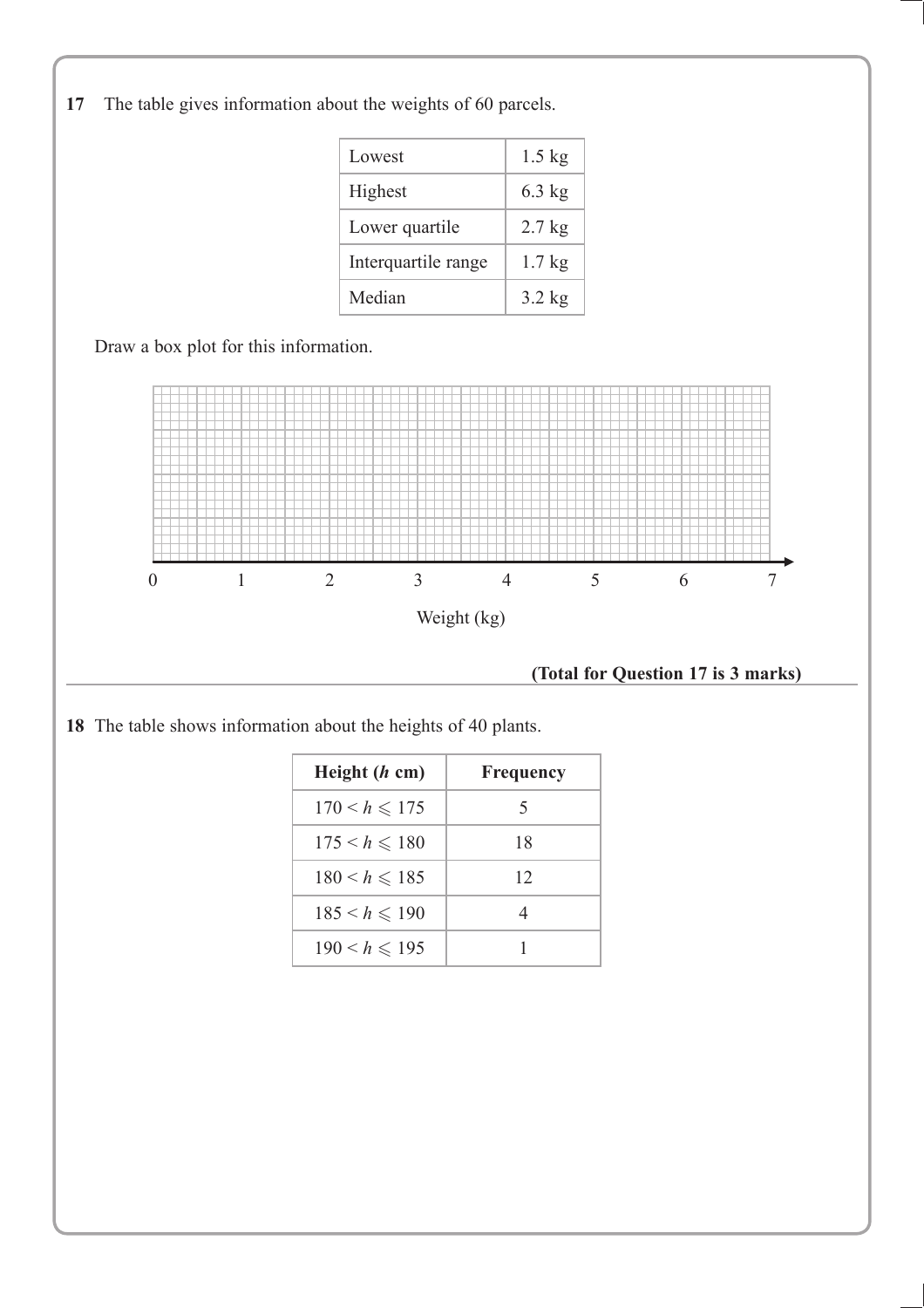**17** The table gives information about the weights of 60 parcels.

| Lowest              | $1.5$ kg |
|---------------------|----------|
| Highest             | $6.3$ kg |
| Lower quartile      | $2.7$ kg |
| Interquartile range | $1.7$ kg |
| Median              | $3.2$ kg |

Draw a box plot for this information.



 **(Total for Question 17 is 3 marks)**

**18** The table shows information about the heights of 40 plants.

| Height $(h \text{ cm})$ | <b>Frequency</b> |
|-------------------------|------------------|
| $170 < h \le 175$       | 5                |
| $175 \le h \le 180$     | 18               |
| $180 < h \le 185$       | 12               |
| $185 < h \le 190$       |                  |
| $190 < h \le 195$       |                  |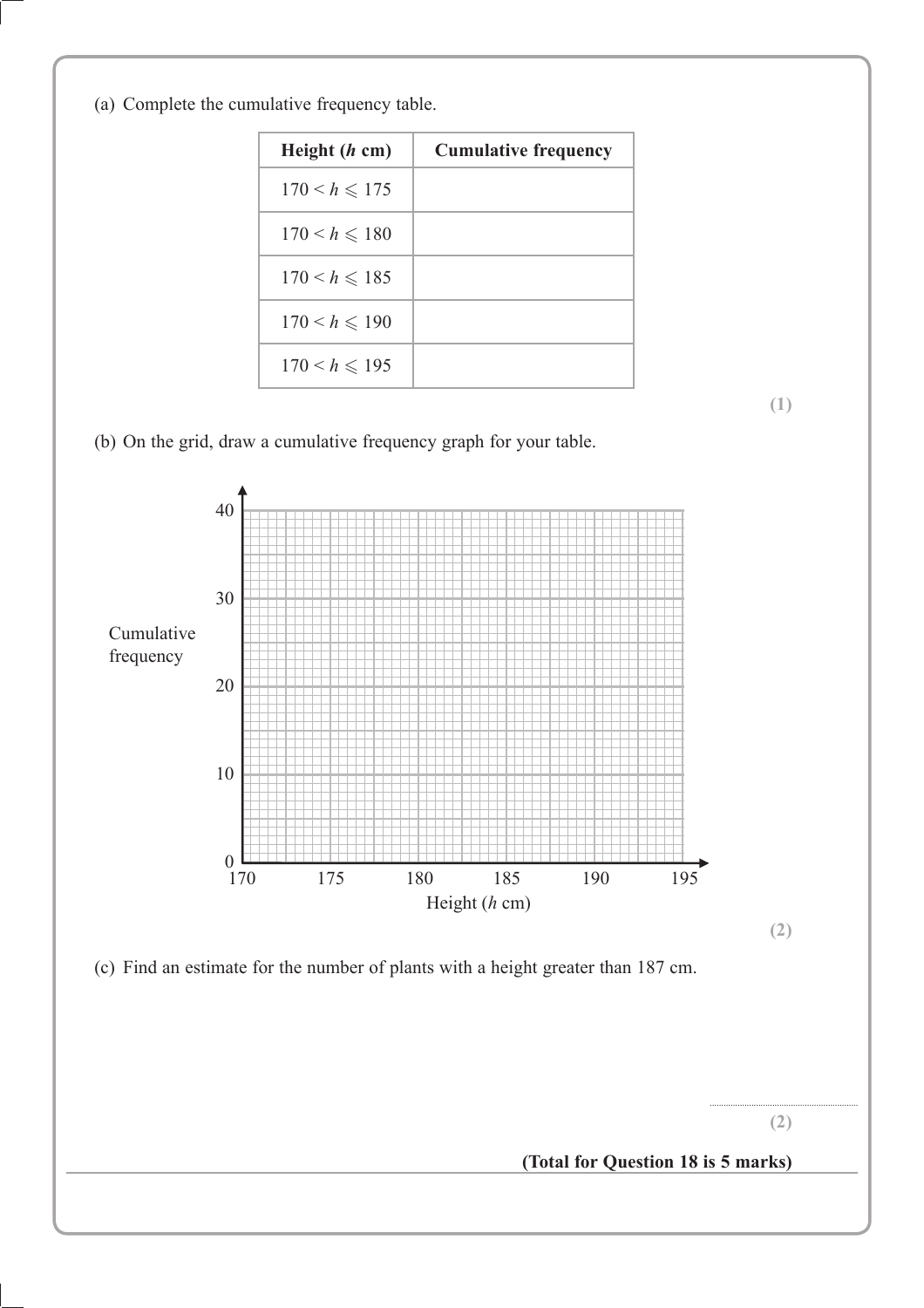(a) Complete the cumulative frequency table.

| Height $(h \text{ cm})$ | <b>Cumulative frequency</b> |
|-------------------------|-----------------------------|
| $170 < h \le 175$       |                             |
| $170 < h \le 180$       |                             |
| $170 < h \le 185$       |                             |
| $170 < h \le 190$       |                             |
| $170 < h \le 195$       |                             |

**(1)**

(b) On the grid, draw a cumulative frequency graph for your table.

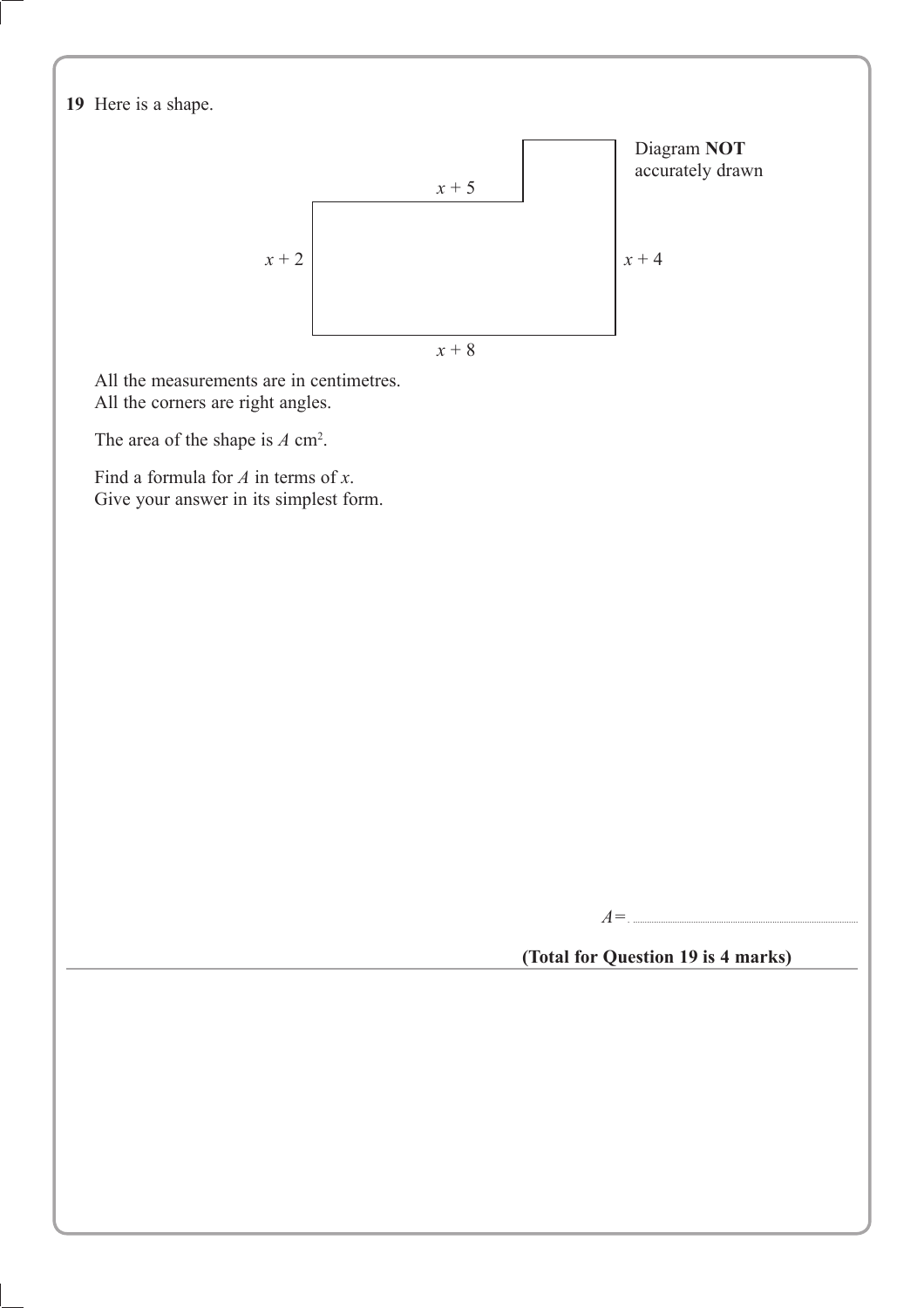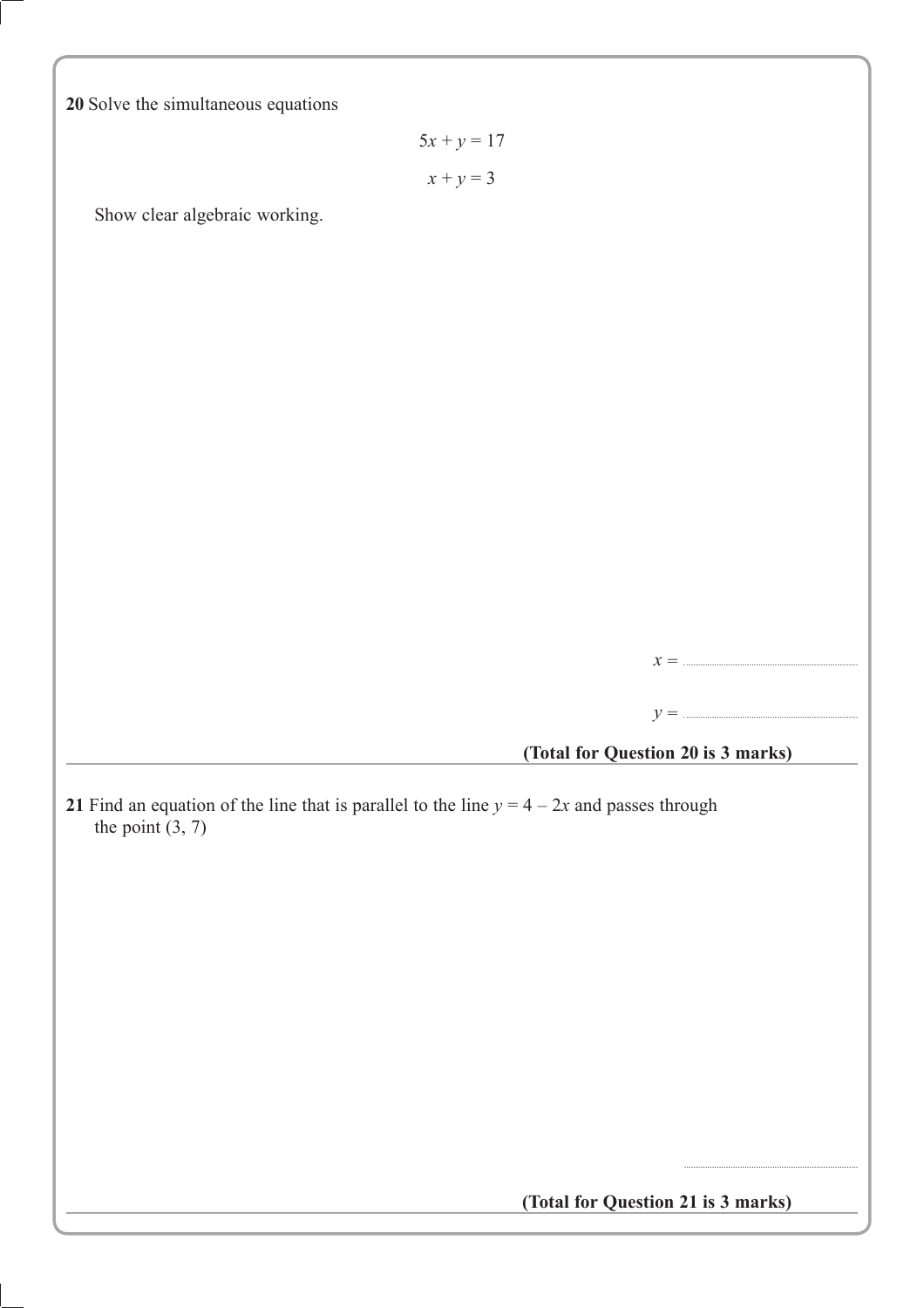**20** Solve the simultaneous equations

 $5x + y = 17$  $x + y = 3$ 

Show clear algebraic working.

*x* = ...........................................................................

*y* = ...........................................................................

**(Total for Question 20 is 3 marks)**

**21** Find an equation of the line that is parallel to the line  $y = 4 - 2x$  and passes through the point  $(3, 7)$ 

 **(Total for Question 21 is 3 marks)**

...........................................................................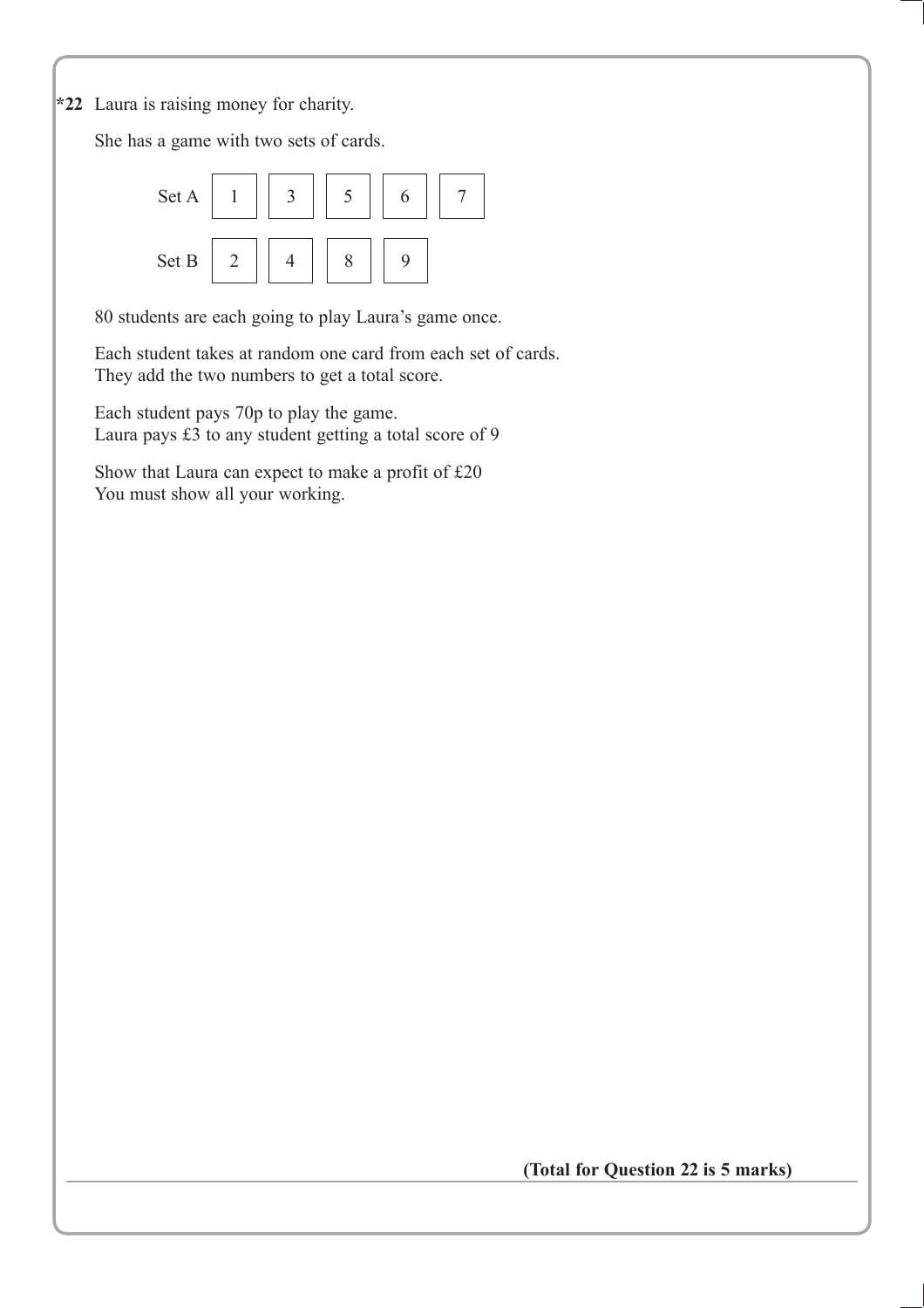**\*22** Laura is raising money for charity.

She has a game with two sets of cards.



80 students are each going to play Laura's game once.

Each student takes at random one card from each set of cards. They add the two numbers to get a total score.

Each student pays 70p to play the game. Laura pays £3 to any student getting a total score of 9

Show that Laura can expect to make a profit of £20 You must show all your working.

**(Total for Question 22 is 5 marks)**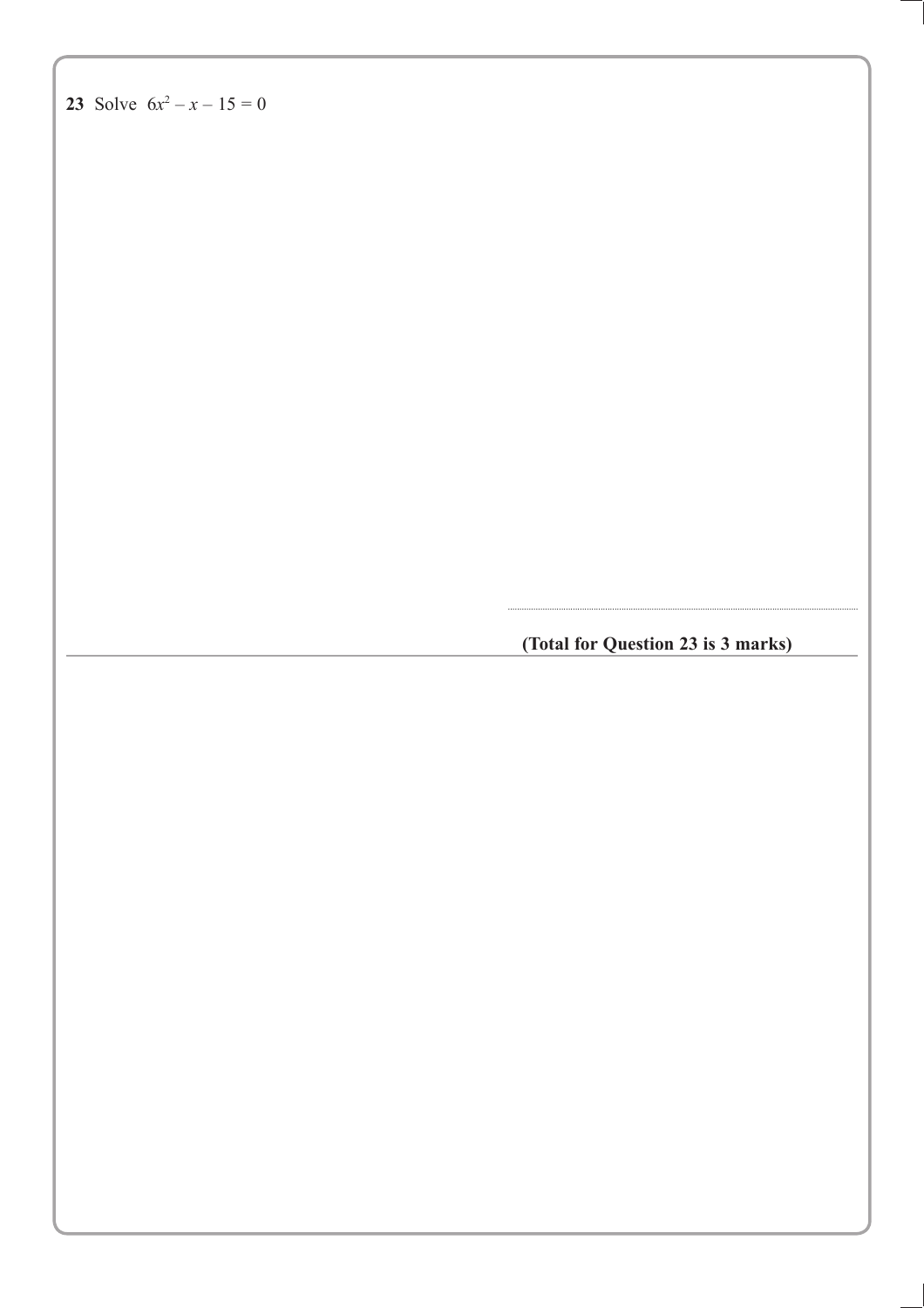(Total for Question 23 is 3 marks)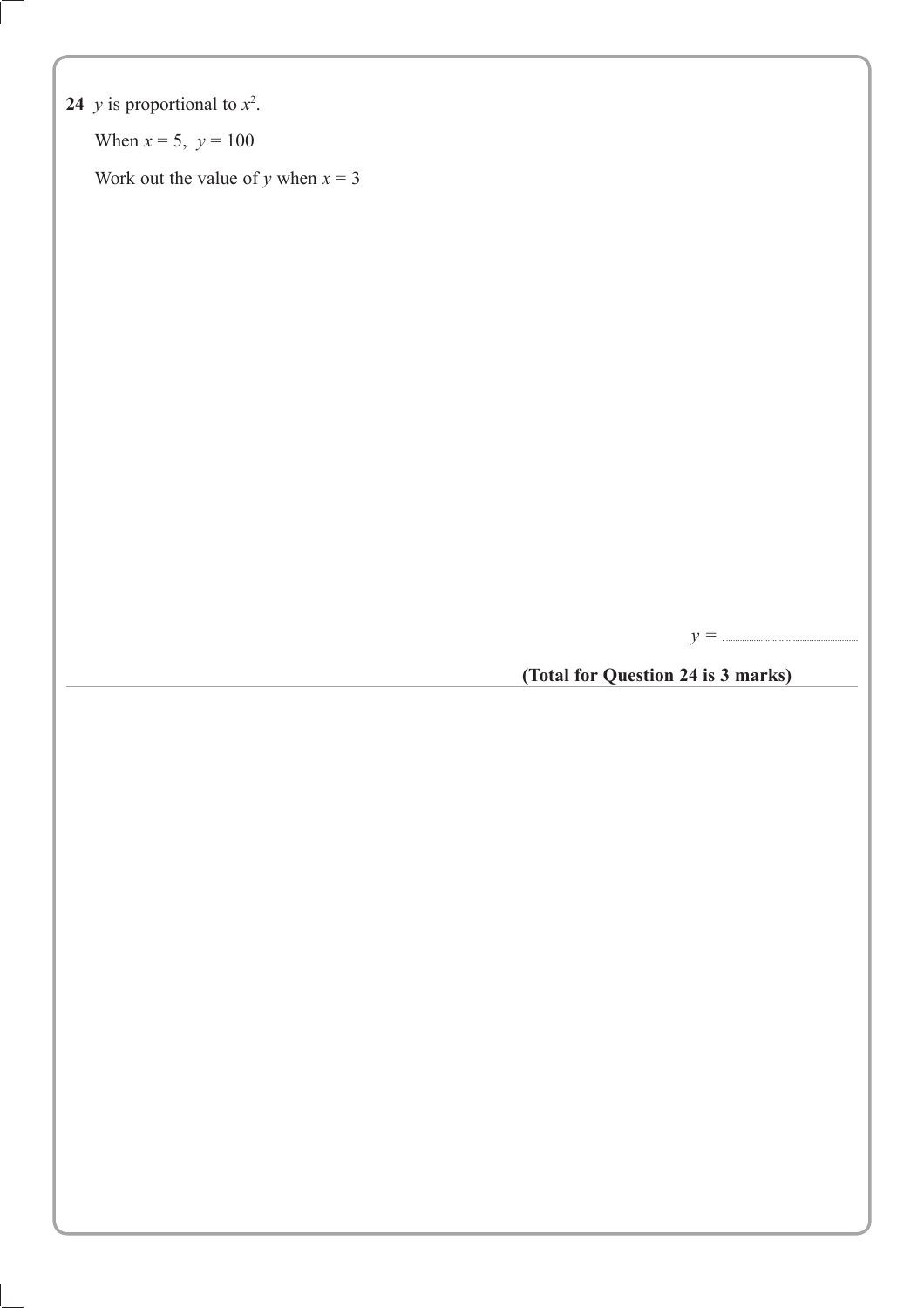### **24** *y* is proportional to  $x^2$ .

When  $x = 5$ ,  $y = 100$ 

Work out the value of *y* when  $x = 3$ 

*y =* . .........................................................

**(Total for Question 24 is 3 marks)**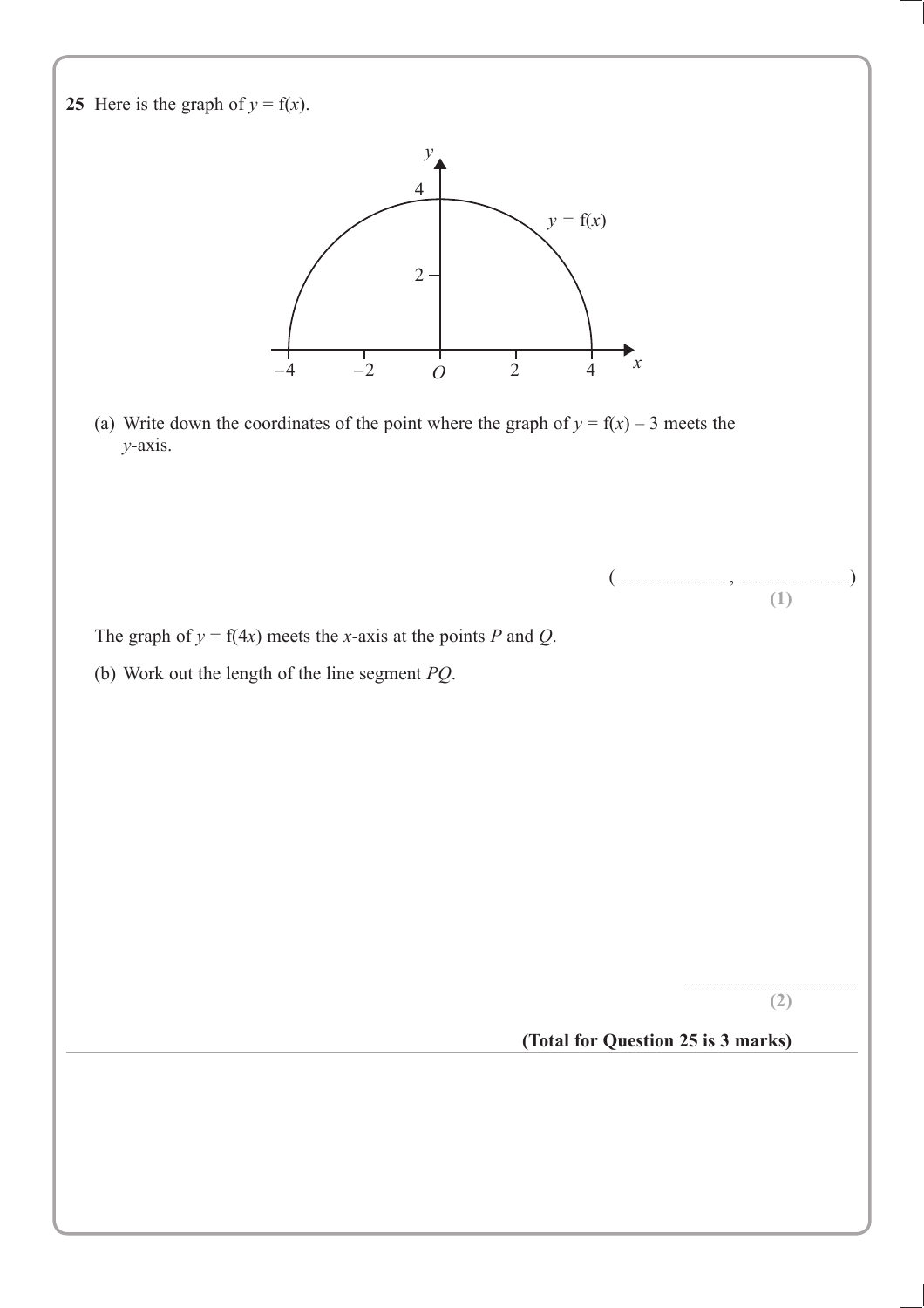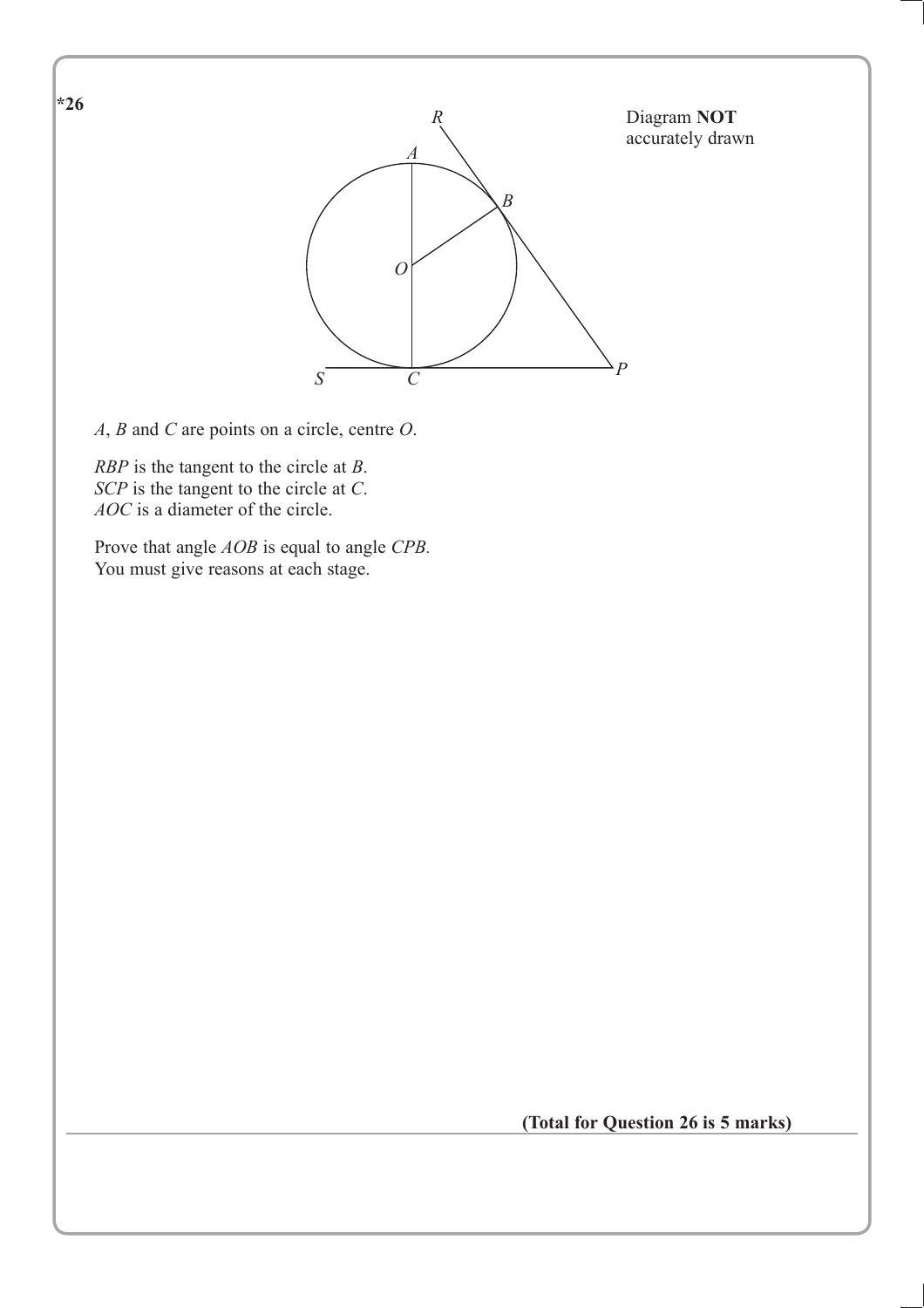